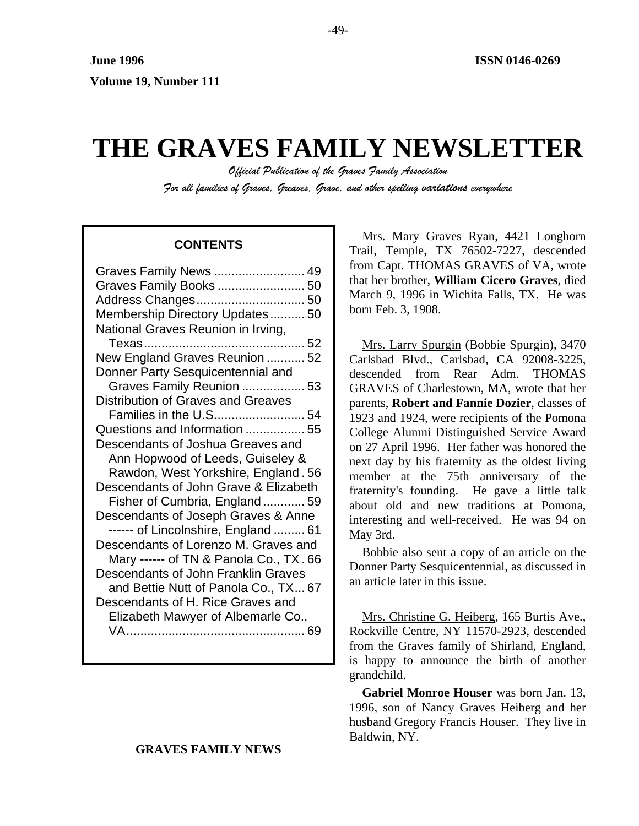# **THE GRAVES FAMILY NEWSLETTER**

*Official Publication of the Graves Family Association For all families of Graves, Greaves, Grave, and other spelling variations everywhere* 

# **CONTENTS**

| Graves Family News  49                    |
|-------------------------------------------|
| Graves Family Books  50                   |
|                                           |
| Membership Directory Updates 50           |
| National Graves Reunion in Irving,        |
|                                           |
| New England Graves Reunion  52            |
| Donner Party Sesquicentennial and         |
| Graves Family Reunion  53                 |
| <b>Distribution of Graves and Greaves</b> |
| Families in the U.S54                     |
| Questions and Information  55             |
| Descendants of Joshua Greaves and         |
| Ann Hopwood of Leeds, Guiseley &          |
| Rawdon, West Yorkshire, England. 56       |
| Descendants of John Grave & Elizabeth     |
| Fisher of Cumbria, England 59             |
| Descendants of Joseph Graves & Anne       |
| ----- of Lincolnshire, England  61        |
| Descendants of Lorenzo M. Graves and      |
| Mary ------ of TN & Panola Co., TX.66     |
| Descendants of John Franklin Graves       |
| and Bettie Nutt of Panola Co., TX 67      |
| Descendants of H. Rice Graves and         |
| Elizabeth Mawyer of Albemarle Co.,        |
| VA……………………………………………… 69                   |

# **GRAVES FAMILY NEWS**

Mrs. Mary Graves Ryan, 4421 Longhorn Trail, Temple, TX 76502-7227, descended from Capt. THOMAS GRAVES of VA, wrote that her brother, **William Cicero Graves**, died March 9, 1996 in Wichita Falls, TX. He was born Feb. 3, 1908.

Mrs. Larry Spurgin (Bobbie Spurgin), 3470 Carlsbad Blvd., Carlsbad, CA 92008-3225, descended from Rear Adm. THOMAS GRAVES of Charlestown, MA, wrote that her parents, **Robert and Fannie Dozier**, classes of 1923 and 1924, were recipients of the Pomona College Alumni Distinguished Service Award on 27 April 1996. Her father was honored the next day by his fraternity as the oldest living member at the 75th anniversary of the fraternity's founding. He gave a little talk about old and new traditions at Pomona, interesting and well-received. He was 94 on May 3rd.

Bobbie also sent a copy of an article on the Donner Party Sesquicentennial, as discussed in an article later in this issue.

Mrs. Christine G. Heiberg, 165 Burtis Ave., Rockville Centre, NY 11570-2923, descended from the Graves family of Shirland, England, is happy to announce the birth of another grandchild.

**Gabriel Monroe Houser** was born Jan. 13, 1996, son of Nancy Graves Heiberg and her husband Gregory Francis Houser. They live in Baldwin, NY.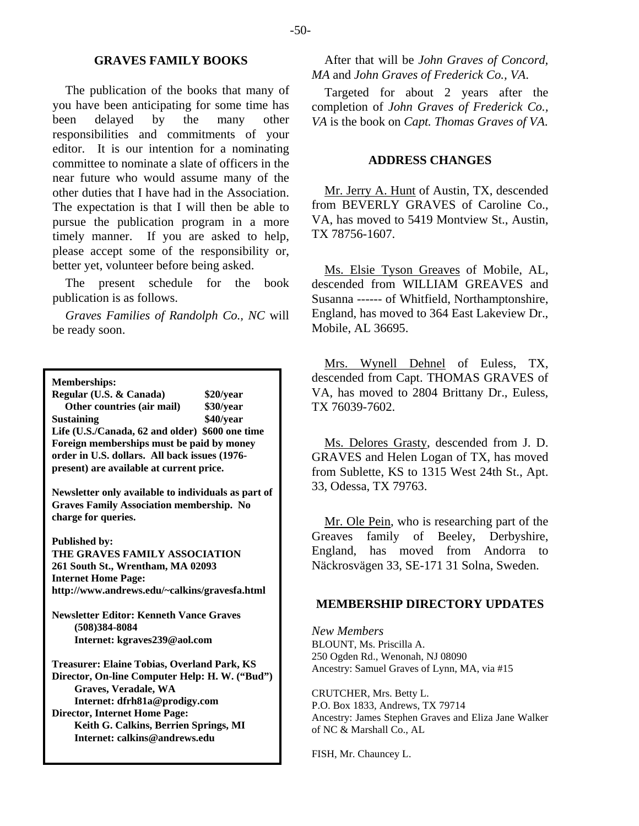## **GRAVES FAMILY BOOKS**

The publication of the books that many of you have been anticipating for some time has been delayed by the many other responsibilities and commitments of your editor. It is our intention for a nominating committee to nominate a slate of officers in the near future who would assume many of the other duties that I have had in the Association. The expectation is that I will then be able to pursue the publication program in a more timely manner. If you are asked to help, please accept some of the responsibility or, better yet, volunteer before being asked.

The present schedule for the book publication is as follows.

*Graves Families of Randolph Co., NC* will be ready soon.

**Memberships:** 

**Regular (U.S. & Canada) \$20/year Other countries (air mail) \$30/year Sustaining \$40/year Life (U.S./Canada, 62 and older) \$600 one time Foreign memberships must be paid by money order in U.S. dollars. All back issues (1976 present) are available at current price.** 

**Newsletter only available to individuals as part of Graves Family Association membership. No charge for queries.** 

**Published by:** 

**THE GRAVES FAMILY ASSOCIATION 261 South St., Wrentham, MA 02093 Internet Home Page: http://www.andrews.edu/~calkins/gravesfa.html** 

**Newsletter Editor: Kenneth Vance Graves (508)384-8084 Internet: kgraves239@aol.com** 

**Treasurer: Elaine Tobias, Overland Park, KS Director, On-line Computer Help: H. W. ("Bud") Graves, Veradale, WA Internet: dfrh81a@prodigy.com Director, Internet Home Page: Keith G. Calkins, Berrien Springs, MI Internet: calkins@andrews.edu**

After that will be *John Graves of Concord, MA* and *John Graves of Frederick Co., VA*.

Targeted for about 2 years after the completion of *John Graves of Frederick Co., VA* is the book on *Capt. Thomas Graves of VA*.

#### **ADDRESS CHANGES**

Mr. Jerry A. Hunt of Austin, TX, descended from BEVERLY GRAVES of Caroline Co., VA, has moved to 5419 Montview St., Austin, TX 78756-1607.

Ms. Elsie Tyson Greaves of Mobile, AL, descended from WILLIAM GREAVES and Susanna ------ of Whitfield, Northamptonshire, England, has moved to 364 East Lakeview Dr., Mobile, AL 36695.

Mrs. Wynell Dehnel of Euless, TX, descended from Capt. THOMAS GRAVES of VA, has moved to 2804 Brittany Dr., Euless, TX 76039-7602.

Ms. Delores Grasty, descended from J. D. GRAVES and Helen Logan of TX, has moved from Sublette, KS to 1315 West 24th St., Apt. 33, Odessa, TX 79763.

Mr. Ole Pein, who is researching part of the Greaves family of Beeley, Derbyshire, England, has moved from Andorra to Näckrosvägen 33, SE-171 31 Solna, Sweden.

#### **MEMBERSHIP DIRECTORY UPDATES**

*New Members*  BLOUNT, Ms. Priscilla A. 250 Ogden Rd., Wenonah, NJ 08090 Ancestry: Samuel Graves of Lynn, MA, via #15

CRUTCHER, Mrs. Betty L. P.O. Box 1833, Andrews, TX 79714 Ancestry: James Stephen Graves and Eliza Jane Walker of NC & Marshall Co., AL

FISH, Mr. Chauncey L.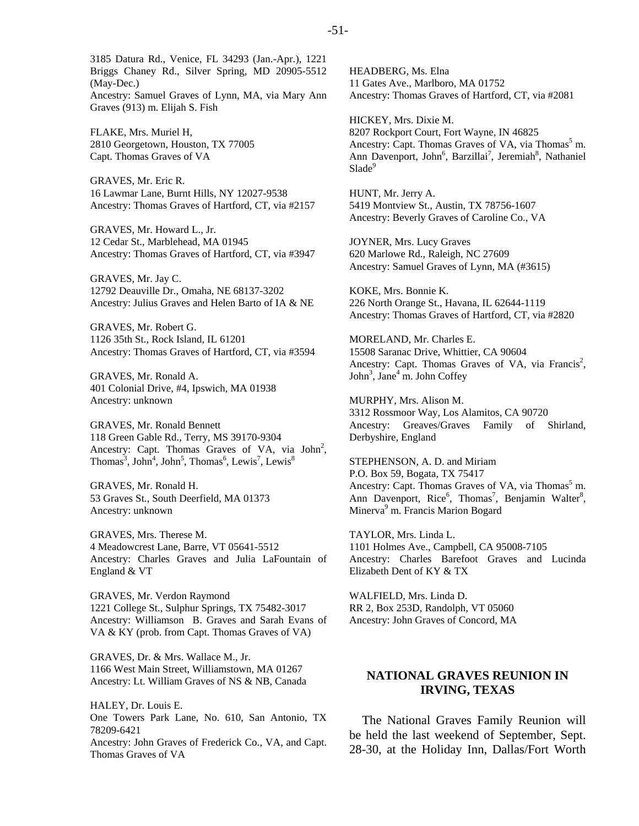3185 Datura Rd., Venice, FL 34293 (Jan.-Apr.), 1221 Briggs Chaney Rd., Silver Spring, MD 20905-5512 (May-Dec.) Ancestry: Samuel Graves of Lynn, MA, via Mary Ann Graves (913) m. Elijah S. Fish

FLAKE, Mrs. Muriel H, 2810 Georgetown, Houston, TX 77005 Capt. Thomas Graves of VA

GRAVES, Mr. Eric R. 16 Lawmar Lane, Burnt Hills, NY 12027-9538 Ancestry: Thomas Graves of Hartford, CT, via #2157

GRAVES, Mr. Howard L., Jr. 12 Cedar St., Marblehead, MA 01945 Ancestry: Thomas Graves of Hartford, CT, via #3947

GRAVES, Mr. Jay C. 12792 Deauville Dr., Omaha, NE 68137-3202 Ancestry: Julius Graves and Helen Barto of IA & NE

GRAVES, Mr. Robert G. 1126 35th St., Rock Island, IL 61201 Ancestry: Thomas Graves of Hartford, CT, via #3594

GRAVES, Mr. Ronald A. 401 Colonial Drive, #4, Ipswich, MA 01938 Ancestry: unknown

GRAVES, Mr. Ronald Bennett 118 Green Gable Rd., Terry, MS 39170-9304 Ancestry: Capt. Thomas Graves of VA, via  $John<sup>2</sup>$ , Thomas<sup>3</sup>, John<sup>4</sup>, John<sup>5</sup>, Thomas<sup>6</sup>, Lewis<sup>7</sup>, Lewis<sup>8</sup>

GRAVES, Mr. Ronald H. 53 Graves St., South Deerfield, MA 01373 Ancestry: unknown

GRAVES, Mrs. Therese M. 4 Meadowcrest Lane, Barre, VT 05641-5512 Ancestry: Charles Graves and Julia LaFountain of England & VT

GRAVES, Mr. Verdon Raymond 1221 College St., Sulphur Springs, TX 75482-3017 Ancestry: Williamson B. Graves and Sarah Evans of VA & KY (prob. from Capt. Thomas Graves of VA)

GRAVES, Dr. & Mrs. Wallace M., Jr. 1166 West Main Street, Williamstown, MA 01267 Ancestry: Lt. William Graves of NS & NB, Canada

HALEY, Dr. Louis E. One Towers Park Lane, No. 610, San Antonio, TX 78209-6421 Ancestry: John Graves of Frederick Co., VA, and Capt. Thomas Graves of VA

HEADBERG, Ms. Elna 11 Gates Ave., Marlboro, MA 01752 Ancestry: Thomas Graves of Hartford, CT, via #2081

HICKEY, Mrs. Dixie M. 8207 Rockport Court, Fort Wayne, IN 46825 Ancestry: Capt. Thomas Graves of VA, via Thomas<sup>5</sup> m. Ann Davenport, John<sup>6</sup>, Barzillai<sup>7</sup>, Jeremiah<sup>8</sup>, Nathaniel Slade<sup>9</sup>

HUNT, Mr. Jerry A. 5419 Montview St., Austin, TX 78756-1607 Ancestry: Beverly Graves of Caroline Co., VA

JOYNER, Mrs. Lucy Graves 620 Marlowe Rd., Raleigh, NC 27609 Ancestry: Samuel Graves of Lynn, MA (#3615)

KOKE, Mrs. Bonnie K. 226 North Orange St., Havana, IL 62644-1119 Ancestry: Thomas Graves of Hartford, CT, via #2820

MORELAND, Mr. Charles E. 15508 Saranac Drive, Whittier, CA 90604 Ancestry: Capt. Thomas Graves of VA, via Francis<sup>2</sup>, John<sup>3</sup>, Jane<sup>4</sup> m. John Coffey

MURPHY, Mrs. Alison M. 3312 Rossmoor Way, Los Alamitos, CA 90720 Ancestry: Greaves/Graves Family of Shirland, Derbyshire, England

STEPHENSON, A. D. and Miriam P.O. Box 59, Bogata, TX 75417 Ancestry: Capt. Thomas Graves of VA, via Thomas<sup>5</sup> m. Ann Davenport, Rice<sup>6</sup>, Thomas<sup>7</sup>, Benjamin Walter<sup>8</sup>, Minerva<sup>9</sup> m. Francis Marion Bogard

TAYLOR, Mrs. Linda L. 1101 Holmes Ave., Campbell, CA 95008-7105 Ancestry: Charles Barefoot Graves and Lucinda Elizabeth Dent of KY & TX

WALFIELD, Mrs. Linda D. RR 2, Box 253D, Randolph, VT 05060 Ancestry: John Graves of Concord, MA

# **NATIONAL GRAVES REUNION IN IRVING, TEXAS**

The National Graves Family Reunion will be held the last weekend of September, Sept. 28-30, at the Holiday Inn, Dallas/Fort Worth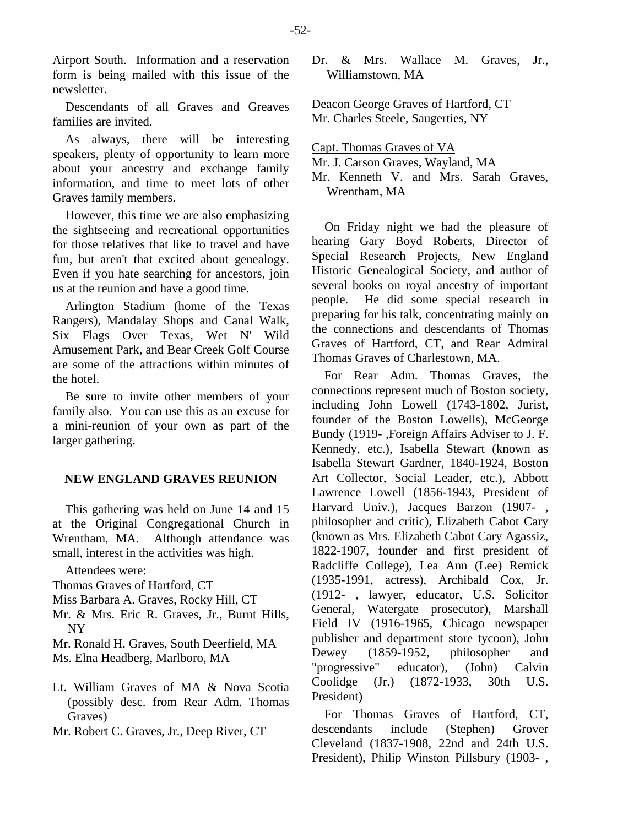Airport South. Information and a reservation form is being mailed with this issue of the newsletter.

Descendants of all Graves and Greaves families are invited.

As always, there will be interesting speakers, plenty of opportunity to learn more about your ancestry and exchange family information, and time to meet lots of other Graves family members.

However, this time we are also emphasizing the sightseeing and recreational opportunities for those relatives that like to travel and have fun, but aren't that excited about genealogy. Even if you hate searching for ancestors, join us at the reunion and have a good time.

Arlington Stadium (home of the Texas Rangers), Mandalay Shops and Canal Walk, Six Flags Over Texas, Wet N' Wild Amusement Park, and Bear Creek Golf Course are some of the attractions within minutes of the hotel.

Be sure to invite other members of your family also. You can use this as an excuse for a mini-reunion of your own as part of the larger gathering.

## **NEW ENGLAND GRAVES REUNION**

This gathering was held on June 14 and 15 at the Original Congregational Church in Wrentham, MA. Although attendance was small, interest in the activities was high.

Attendees were:

- Thomas Graves of Hartford, CT
- Miss Barbara A. Graves, Rocky Hill, CT
- Mr. & Mrs. Eric R. Graves, Jr., Burnt Hills, NY
- Mr. Ronald H. Graves, South Deerfield, MA
- Ms. Elna Headberg, Marlboro, MA

# Lt. William Graves of MA & Nova Scotia (possibly desc. from Rear Adm. Thomas Graves)

Mr. Robert C. Graves, Jr., Deep River, CT

Dr. & Mrs. Wallace M. Graves, Jr., Williamstown, MA

Deacon George Graves of Hartford, CT Mr. Charles Steele, Saugerties, NY

Capt. Thomas Graves of VA

Mr. J. Carson Graves, Wayland, MA

Mr. Kenneth V. and Mrs. Sarah Graves, Wrentham, MA

On Friday night we had the pleasure of hearing Gary Boyd Roberts, Director of Special Research Projects, New England Historic Genealogical Society, and author of several books on royal ancestry of important people. He did some special research in preparing for his talk, concentrating mainly on the connections and descendants of Thomas Graves of Hartford, CT, and Rear Admiral Thomas Graves of Charlestown, MA.

For Rear Adm. Thomas Graves, the connections represent much of Boston society, including John Lowell (1743-1802, Jurist, founder of the Boston Lowells), McGeorge Bundy (1919- ,Foreign Affairs Adviser to J. F. Kennedy, etc.), Isabella Stewart (known as Isabella Stewart Gardner, 1840-1924, Boston Art Collector, Social Leader, etc.), Abbott Lawrence Lowell (1856-1943, President of Harvard Univ.), Jacques Barzon (1907- , philosopher and critic), Elizabeth Cabot Cary (known as Mrs. Elizabeth Cabot Cary Agassiz, 1822-1907, founder and first president of Radcliffe College), Lea Ann (Lee) Remick (1935-1991, actress), Archibald Cox, Jr. (1912- , lawyer, educator, U.S. Solicitor General, Watergate prosecutor), Marshall Field IV (1916-1965, Chicago newspaper publisher and department store tycoon), John Dewey (1859-1952, philosopher and "progressive" educator), (John) Calvin Coolidge (Jr.) (1872-1933, 30th U.S. President)

For Thomas Graves of Hartford, CT, descendants include (Stephen) Grover Cleveland (1837-1908, 22nd and 24th U.S. President), Philip Winston Pillsbury (1903- ,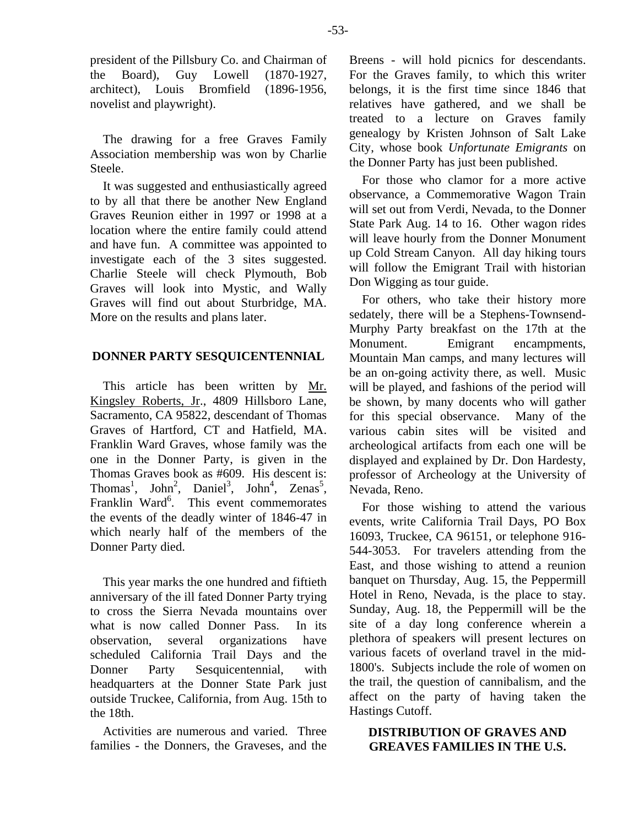president of the Pillsbury Co. and Chairman of the Board), Guy Lowell (1870-1927, architect), Louis Bromfield (1896-1956, novelist and playwright).

The drawing for a free Graves Family Association membership was won by Charlie Steele.

It was suggested and enthusiastically agreed to by all that there be another New England Graves Reunion either in 1997 or 1998 at a location where the entire family could attend and have fun. A committee was appointed to investigate each of the 3 sites suggested. Charlie Steele will check Plymouth, Bob Graves will look into Mystic, and Wally Graves will find out about Sturbridge, MA. More on the results and plans later.

# **DONNER PARTY SESQUICENTENNIAL**

This article has been written by Mr. Kingsley Roberts, Jr., 4809 Hillsboro Lane, Sacramento, CA 95822, descendant of Thomas Graves of Hartford, CT and Hatfield, MA. Franklin Ward Graves, whose family was the one in the Donner Party, is given in the Thomas Graves book as #609. His descent is: Thomas<sup>1</sup>, John<sup>2</sup>, Daniel<sup>3</sup>, John<sup>4</sup>, Zenas<sup>5</sup>, Franklin Ward<sup>6</sup>. This event commemorates the events of the deadly winter of 1846-47 in which nearly half of the members of the Donner Party died.

This year marks the one hundred and fiftieth anniversary of the ill fated Donner Party trying to cross the Sierra Nevada mountains over what is now called Donner Pass. In its observation, several organizations have scheduled California Trail Days and the Donner Party Sesquicentennial, with headquarters at the Donner State Park just outside Truckee, California, from Aug. 15th to the 18th.

Activities are numerous and varied. Three families - the Donners, the Graveses, and the Breens - will hold picnics for descendants. For the Graves family, to which this writer belongs, it is the first time since 1846 that relatives have gathered, and we shall be treated to a lecture on Graves family genealogy by Kristen Johnson of Salt Lake City, whose book *Unfortunate Emigrants* on the Donner Party has just been published.

For those who clamor for a more active observance, a Commemorative Wagon Train will set out from Verdi, Nevada, to the Donner State Park Aug. 14 to 16. Other wagon rides will leave hourly from the Donner Monument up Cold Stream Canyon. All day hiking tours will follow the Emigrant Trail with historian Don Wigging as tour guide.

For others, who take their history more sedately, there will be a Stephens-Townsend-Murphy Party breakfast on the 17th at the Monument. Emigrant encampments, Mountain Man camps, and many lectures will be an on-going activity there, as well. Music will be played, and fashions of the period will be shown, by many docents who will gather for this special observance. Many of the various cabin sites will be visited and archeological artifacts from each one will be displayed and explained by Dr. Don Hardesty, professor of Archeology at the University of Nevada, Reno.

For those wishing to attend the various events, write California Trail Days, PO Box 16093, Truckee, CA 96151, or telephone 916- 544-3053. For travelers attending from the East, and those wishing to attend a reunion banquet on Thursday, Aug. 15, the Peppermill Hotel in Reno, Nevada, is the place to stay. Sunday, Aug. 18, the Peppermill will be the site of a day long conference wherein a plethora of speakers will present lectures on various facets of overland travel in the mid-1800's. Subjects include the role of women on the trail, the question of cannibalism, and the affect on the party of having taken the Hastings Cutoff.

# **DISTRIBUTION OF GRAVES AND GREAVES FAMILIES IN THE U.S.**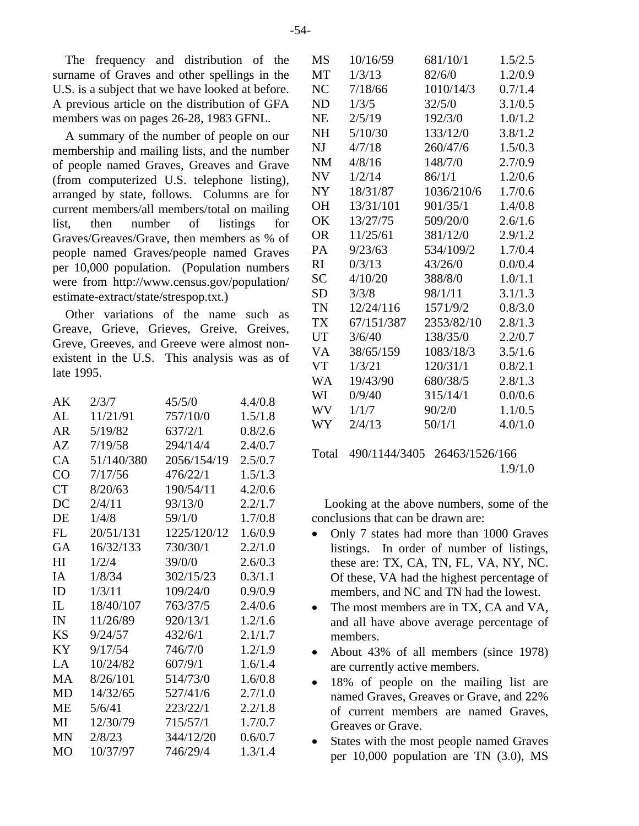The frequency and distribution of the surname of Graves and other spellings in the U.S. is a subject that we have looked at before. A previous article on the distribution of GFA members was on pages 26-28, 1983 GFNL.

A summary of the number of people on our membership and mailing lists, and the number of people named Graves, Greaves and Grave (from computerized U.S. telephone listing), arranged by state, follows. Columns are for current members/all members/total on mailing list, then number of listings for Graves/Greaves/Grave, then members as % of people named Graves/people named Graves per 10,000 population. (Population numbers were from http://www.census.gov/population/ estimate-extract/state/strespop.txt.)

Other variations of the name such as Greave, Grieve, Grieves, Greive, Greives, Greve, Greeves, and Greeve were almost nonexistent in the U.S. This analysis was as of late 1995.

| AK        | 2/3/7      | 45/5/0      | 4.4/0.8 |
|-----------|------------|-------------|---------|
| AL        | 11/21/91   | 757/10/0    | 1.5/1.8 |
| AR        | 5/19/82    | 637/2/1     | 0.8/2.6 |
| AZ        | 7/19/58    | 294/14/4    | 2.4/0.7 |
| CA        | 51/140/380 | 2056/154/19 | 2.5/0.7 |
| CO        | 7/17/56    | 476/22/1    | 1.5/1.3 |
| <b>CT</b> | 8/20/63    | 190/54/11   | 4.2/0.6 |
| DC        | 2/4/11     | 93/13/0     | 2.2/1.7 |
| DE        | 1/4/8      | 59/1/0      | 1.7/0.8 |
| <b>FL</b> | 20/51/131  | 1225/120/12 | 1.6/0.9 |
| <b>GA</b> | 16/32/133  | 730/30/1    | 2.2/1.0 |
| HI        | 1/2/4      | 39/0/0      | 2.6/0.3 |
| <b>IA</b> | 1/8/34     | 302/15/23   | 0.3/1.1 |
| ID        | 1/3/11     | 109/24/0    | 0.9/0.9 |
| IL        | 18/40/107  | 763/37/5    | 2.4/0.6 |
| IN        | 11/26/89   | 920/13/1    | 1.2/1.6 |
| <b>KS</b> | 9/24/57    | 432/6/1     | 2.1/1.7 |
| KY        | 9/17/54    | 746/7/0     | 1.2/1.9 |
| LA        | 10/24/82   | 607/9/1     | 1.6/1.4 |
| MA        | 8/26/101   | 514/73/0    | 1.6/0.8 |
| <b>MD</b> | 14/32/65   | 527/41/6    | 2.7/1.0 |
| ME        | 5/6/41     | 223/22/1    | 2.2/1.8 |
| MI        | 12/30/79   | 715/57/1    | 1.7/0.7 |
| MN        | 2/8/23     | 344/12/20   | 0.6/0.7 |
| MO        | 10/37/97   | 746/29/4    | 1.3/1.4 |

| MS        | 10/16/59   | 681/10/1   | 1.5/2.5 |
|-----------|------------|------------|---------|
| MT        | 1/3/13     | 82/6/0     | 1.2/0.9 |
| NC        | 7/18/66    | 1010/14/3  | 0.7/1.4 |
| <b>ND</b> | 1/3/5      | 32/5/0     | 3.1/0.5 |
| <b>NE</b> | 2/5/19     | 192/3/0    | 1.0/1.2 |
| <b>NH</b> | 5/10/30    | 133/12/0   | 3.8/1.2 |
| NJ        | 4/7/18     | 260/47/6   | 1.5/0.3 |
| <b>NM</b> | 4/8/16     | 148/7/0    | 2.7/0.9 |
| <b>NV</b> | 1/2/14     | 86/1/1     | 1.2/0.6 |
| <b>NY</b> | 18/31/87   | 1036/210/6 | 1.7/0.6 |
| <b>OH</b> | 13/31/101  | 901/35/1   | 1.4/0.8 |
| OK        | 13/27/75   | 509/20/0   | 2.6/1.6 |
| <b>OR</b> | 11/25/61   | 381/12/0   | 2.9/1.2 |
| PA        | 9/23/63    | 534/109/2  | 1.7/0.4 |
| <b>RI</b> | 0/3/13     | 43/26/0    | 0.0/0.4 |
| SC        | 4/10/20    | 388/8/0    | 1.0/1.1 |
| <b>SD</b> | 3/3/8      | 98/1/11    | 3.1/1.3 |
| TN        | 12/24/116  | 1571/9/2   | 0.8/3.0 |
| TX        | 67/151/387 | 2353/82/10 | 2.8/1.3 |
| UT        | 3/6/40     | 138/35/0   | 2.2/0.7 |
| VA        | 38/65/159  | 1083/18/3  | 3.5/1.6 |
| <b>VT</b> | 1/3/21     | 120/31/1   | 0.8/2.1 |
| <b>WA</b> | 19/43/90   | 680/38/5   | 2.8/1.3 |
| WI        | 0/9/40     | 315/14/1   | 0.0/0.6 |
| <b>WV</b> | 1/1/7      | 90/2/0     | 1.1/0.5 |
| WY        | 2/4/13     | 50/1/1     | 4.0/1.0 |

# Total 490/1144/3405 26463/1526/166 1.9/1.0

Looking at the above numbers, some of the conclusions that can be drawn are:

- Only 7 states had more than 1000 Graves listings. In order of number of listings, these are: TX, CA, TN, FL, VA, NY, NC. Of these, VA had the highest percentage of members, and NC and TN had the lowest.
- The most members are in TX, CA and VA, and all have above average percentage of members.
- About 43% of all members (since 1978) are currently active members.
- 18% of people on the mailing list are named Graves, Greaves or Grave, and 22% of current members are named Graves, Greaves or Grave.
- States with the most people named Graves per 10,000 population are TN (3.0), MS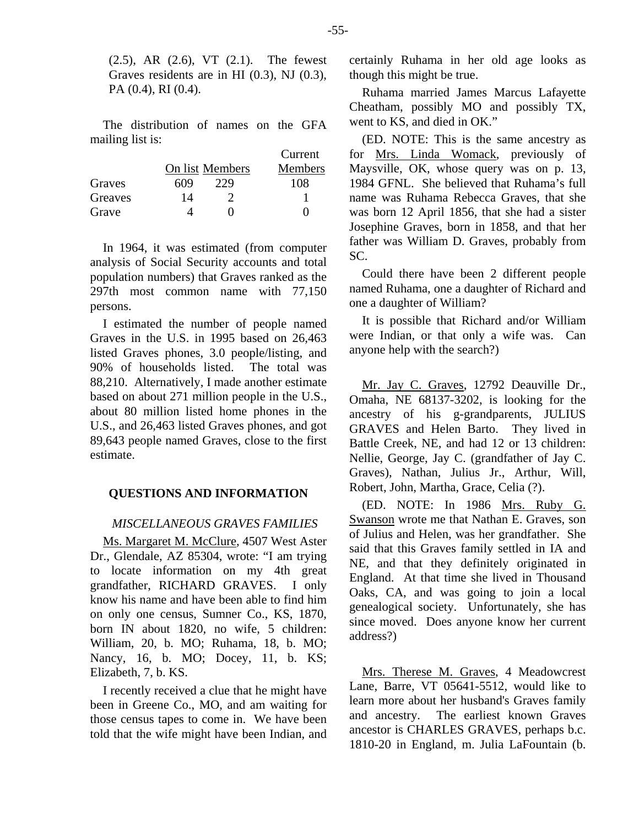(2.5), AR (2.6), VT (2.1). The fewest Graves residents are in HI (0.3), NJ (0.3), PA (0.4), RI (0.4).

The distribution of names on the GFA mailing list is:

|         |     |                 | Current        |
|---------|-----|-----------------|----------------|
|         |     | On list Members | <b>Members</b> |
| Graves  | 609 | 229             | 108            |
| Greaves | 14  |                 |                |
| Grave   |     |                 |                |

In 1964, it was estimated (from computer analysis of Social Security accounts and total population numbers) that Graves ranked as the 297th most common name with 77,150 persons.

I estimated the number of people named Graves in the U.S. in 1995 based on 26,463 listed Graves phones, 3.0 people/listing, and 90% of households listed. The total was 88,210. Alternatively, I made another estimate based on about 271 million people in the U.S., about 80 million listed home phones in the U.S., and 26,463 listed Graves phones, and got 89,643 people named Graves, close to the first estimate.

### **QUESTIONS AND INFORMATION**

#### *MISCELLANEOUS GRAVES FAMILIES*

Ms. Margaret M. McClure, 4507 West Aster Dr., Glendale, AZ 85304, wrote: "I am trying to locate information on my 4th great grandfather, RICHARD GRAVES. I only know his name and have been able to find him on only one census, Sumner Co., KS, 1870, born IN about 1820, no wife, 5 children: William, 20, b. MO; Ruhama, 18, b. MO; Nancy, 16, b. MO; Docey, 11, b. KS; Elizabeth, 7, b. KS.

I recently received a clue that he might have been in Greene Co., MO, and am waiting for those census tapes to come in. We have been told that the wife might have been Indian, and

certainly Ruhama in her old age looks as though this might be true.

Ruhama married James Marcus Lafayette Cheatham, possibly MO and possibly TX, went to KS, and died in OK."

(ED. NOTE: This is the same ancestry as for Mrs. Linda Womack, previously of Maysville, OK, whose query was on p. 13, 1984 GFNL. She believed that Ruhama's full name was Ruhama Rebecca Graves, that she was born 12 April 1856, that she had a sister Josephine Graves, born in 1858, and that her father was William D. Graves, probably from SC.

Could there have been 2 different people named Ruhama, one a daughter of Richard and one a daughter of William?

It is possible that Richard and/or William were Indian, or that only a wife was. Can anyone help with the search?)

Mr. Jay C. Graves, 12792 Deauville Dr., Omaha, NE 68137-3202, is looking for the ancestry of his g-grandparents, JULIUS GRAVES and Helen Barto. They lived in Battle Creek, NE, and had 12 or 13 children: Nellie, George, Jay C. (grandfather of Jay C. Graves), Nathan, Julius Jr., Arthur, Will, Robert, John, Martha, Grace, Celia (?).

(ED. NOTE: In 1986 Mrs. Ruby G. Swanson wrote me that Nathan E. Graves, son of Julius and Helen, was her grandfather. She said that this Graves family settled in IA and NE, and that they definitely originated in England. At that time she lived in Thousand Oaks, CA, and was going to join a local genealogical society. Unfortunately, she has since moved. Does anyone know her current address?)

Mrs. Therese M. Graves, 4 Meadowcrest Lane, Barre, VT 05641-5512, would like to learn more about her husband's Graves family and ancestry. The earliest known Graves ancestor is CHARLES GRAVES, perhaps b.c. 1810-20 in England, m. Julia LaFountain (b.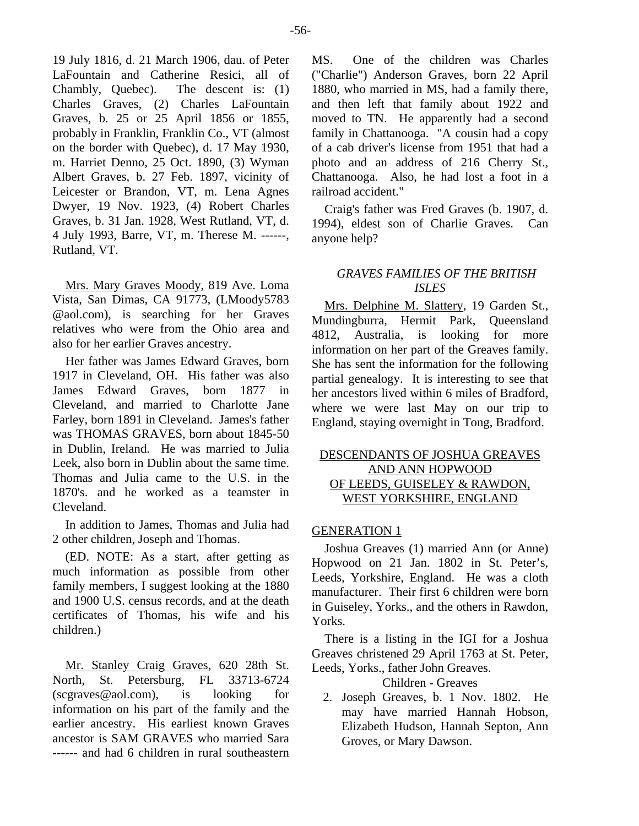19 July 1816, d. 21 March 1906, dau. of Peter LaFountain and Catherine Resici, all of Chambly, Quebec). The descent is: (1) Charles Graves, (2) Charles LaFountain Graves, b. 25 or 25 April 1856 or 1855, probably in Franklin, Franklin Co., VT (almost on the border with Quebec), d. 17 May 1930, m. Harriet Denno, 25 Oct. 1890, (3) Wyman Albert Graves, b. 27 Feb. 1897, vicinity of Leicester or Brandon, VT, m. Lena Agnes Dwyer, 19 Nov. 1923, (4) Robert Charles Graves, b. 31 Jan. 1928, West Rutland, VT, d. 4 July 1993, Barre, VT, m. Therese M. ------, Rutland, VT.

Mrs. Mary Graves Moody, 819 Ave. Loma Vista, San Dimas, CA 91773, (LMoody5783 @aol.com), is searching for her Graves relatives who were from the Ohio area and also for her earlier Graves ancestry.

Her father was James Edward Graves, born 1917 in Cleveland, OH. His father was also James Edward Graves, born 1877 in Cleveland, and married to Charlotte Jane Farley, born 1891 in Cleveland. James's father was THOMAS GRAVES, born about 1845-50 in Dublin, Ireland. He was married to Julia Leek, also born in Dublin about the same time. Thomas and Julia came to the U.S. in the 1870's. and he worked as a teamster in Cleveland.

In addition to James, Thomas and Julia had 2 other children, Joseph and Thomas.

(ED. NOTE: As a start, after getting as much information as possible from other family members, I suggest looking at the 1880 and 1900 U.S. census records, and at the death certificates of Thomas, his wife and his children.)

Mr. Stanley Craig Graves, 620 28th St. North, St. Petersburg, FL 33713-6724 (scgraves@aol.com), is looking for information on his part of the family and the earlier ancestry. His earliest known Graves ancestor is SAM GRAVES who married Sara ------ and had 6 children in rural southeastern

MS. One of the children was Charles ("Charlie") Anderson Graves, born 22 April 1880, who married in MS, had a family there, and then left that family about 1922 and moved to TN. He apparently had a second family in Chattanooga. "A cousin had a copy of a cab driver's license from 1951 that had a photo and an address of 216 Cherry St., Chattanooga. Also, he had lost a foot in a railroad accident."

Craig's father was Fred Graves (b. 1907, d. 1994), eldest son of Charlie Graves. Can anyone help?

# *GRAVES FAMILIES OF THE BRITISH ISLES*

Mrs. Delphine M. Slattery, 19 Garden St., Mundingburra, Hermit Park, Queensland 4812, Australia, is looking for more information on her part of the Greaves family. She has sent the information for the following partial genealogy. It is interesting to see that her ancestors lived within 6 miles of Bradford, where we were last May on our trip to England, staying overnight in Tong, Bradford.

# DESCENDANTS OF JOSHUA GREAVES AND ANN HOPWOOD OF LEEDS, GUISELEY & RAWDON, WEST YORKSHIRE, ENGLAND

# GENERATION 1

Joshua Greaves (1) married Ann (or Anne) Hopwood on 21 Jan. 1802 in St. Peter's, Leeds, Yorkshire, England. He was a cloth manufacturer. Their first 6 children were born in Guiseley, Yorks., and the others in Rawdon, Yorks.

There is a listing in the IGI for a Joshua Greaves christened 29 April 1763 at St. Peter, Leeds, Yorks., father John Greaves.

## Children - Greaves

 2. Joseph Greaves, b. 1 Nov. 1802. He may have married Hannah Hobson, Elizabeth Hudson, Hannah Septon, Ann Groves, or Mary Dawson.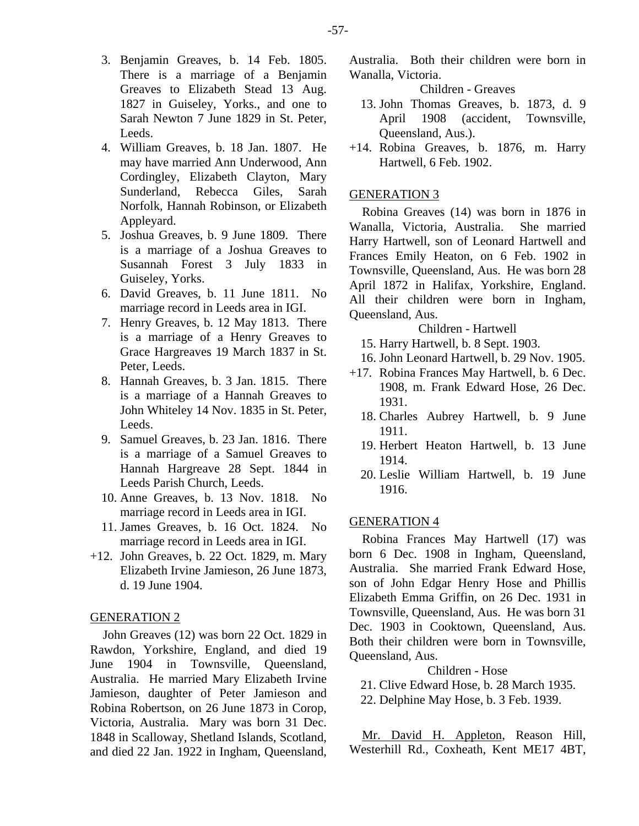- 3. Benjamin Greaves, b. 14 Feb. 1805. There is a marriage of a Benjamin Greaves to Elizabeth Stead 13 Aug. 1827 in Guiseley, Yorks., and one to Sarah Newton 7 June 1829 in St. Peter, Leeds.
- 4. William Greaves, b. 18 Jan. 1807. He may have married Ann Underwood, Ann Cordingley, Elizabeth Clayton, Mary Sunderland, Rebecca Giles, Sarah Norfolk, Hannah Robinson, or Elizabeth Appleyard.
- 5. Joshua Greaves, b. 9 June 1809. There is a marriage of a Joshua Greaves to Susannah Forest 3 July 1833 in Guiseley, Yorks.
- 6. David Greaves, b. 11 June 1811. No marriage record in Leeds area in IGI.
- 7. Henry Greaves, b. 12 May 1813. There is a marriage of a Henry Greaves to Grace Hargreaves 19 March 1837 in St. Peter, Leeds.
- 8. Hannah Greaves, b. 3 Jan. 1815. There is a marriage of a Hannah Greaves to John Whiteley 14 Nov. 1835 in St. Peter, Leeds.
- 9. Samuel Greaves, b. 23 Jan. 1816. There is a marriage of a Samuel Greaves to Hannah Hargreave 28 Sept. 1844 in Leeds Parish Church, Leeds.
- 10. Anne Greaves, b. 13 Nov. 1818. No marriage record in Leeds area in IGI.
- 11. James Greaves, b. 16 Oct. 1824. No marriage record in Leeds area in IGI.
- +12. John Greaves, b. 22 Oct. 1829, m. Mary Elizabeth Irvine Jamieson, 26 June 1873, d. 19 June 1904.

#### GENERATION 2

John Greaves (12) was born 22 Oct. 1829 in Rawdon, Yorkshire, England, and died 19 June 1904 in Townsville, Queensland, Australia. He married Mary Elizabeth Irvine Jamieson, daughter of Peter Jamieson and Robina Robertson, on 26 June 1873 in Corop, Victoria, Australia. Mary was born 31 Dec. 1848 in Scalloway, Shetland Islands, Scotland, and died 22 Jan. 1922 in Ingham, Queensland, Australia. Both their children were born in Wanalla, Victoria.

Children - Greaves

- 13. John Thomas Greaves, b. 1873, d. 9 April 1908 (accident, Townsville, Queensland, Aus.).
- +14. Robina Greaves, b. 1876, m. Harry Hartwell, 6 Feb. 1902.

#### GENERATION 3

Robina Greaves (14) was born in 1876 in Wanalla, Victoria, Australia. She married Harry Hartwell, son of Leonard Hartwell and Frances Emily Heaton, on 6 Feb. 1902 in Townsville, Queensland, Aus. He was born 28 April 1872 in Halifax, Yorkshire, England. All their children were born in Ingham, Queensland, Aus.

Children - Hartwell

- 15. Harry Hartwell, b. 8 Sept. 1903.
- 16. John Leonard Hartwell, b. 29 Nov. 1905.
- +17. Robina Frances May Hartwell, b. 6 Dec. 1908, m. Frank Edward Hose, 26 Dec. 1931.
	- 18. Charles Aubrey Hartwell, b. 9 June 1911.
	- 19. Herbert Heaton Hartwell, b. 13 June 1914.
	- 20. Leslie William Hartwell, b. 19 June 1916.

## GENERATION 4

Robina Frances May Hartwell (17) was born 6 Dec. 1908 in Ingham, Queensland, Australia. She married Frank Edward Hose, son of John Edgar Henry Hose and Phillis Elizabeth Emma Griffin, on 26 Dec. 1931 in Townsville, Queensland, Aus. He was born 31 Dec. 1903 in Cooktown, Queensland, Aus. Both their children were born in Townsville, Queensland, Aus.

## Children - Hose

21. Clive Edward Hose, b. 28 March 1935.

22. Delphine May Hose, b. 3 Feb. 1939.

Mr. David H. Appleton, Reason Hill, Westerhill Rd., Coxheath, Kent ME17 4BT,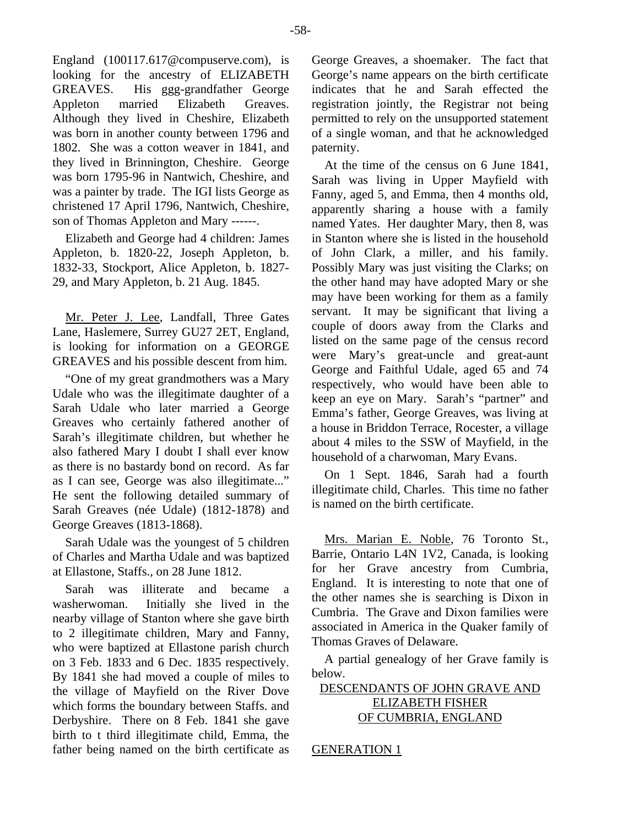England (100117.617@compuserve.com), is looking for the ancestry of ELIZABETH GREAVES. His ggg-grandfather George Appleton married Elizabeth Greaves. Although they lived in Cheshire, Elizabeth was born in another county between 1796 and 1802. She was a cotton weaver in 1841, and they lived in Brinnington, Cheshire. George was born 1795-96 in Nantwich, Cheshire, and was a painter by trade. The IGI lists George as christened 17 April 1796, Nantwich, Cheshire, son of Thomas Appleton and Mary ------.

Elizabeth and George had 4 children: James Appleton, b. 1820-22, Joseph Appleton, b. 1832-33, Stockport, Alice Appleton, b. 1827- 29, and Mary Appleton, b. 21 Aug. 1845.

Mr. Peter J. Lee, Landfall, Three Gates Lane, Haslemere, Surrey GU27 2ET, England, is looking for information on a GEORGE GREAVES and his possible descent from him.

"One of my great grandmothers was a Mary Udale who was the illegitimate daughter of a Sarah Udale who later married a George Greaves who certainly fathered another of Sarah's illegitimate children, but whether he also fathered Mary I doubt I shall ever know as there is no bastardy bond on record. As far as I can see, George was also illegitimate..." He sent the following detailed summary of Sarah Greaves (née Udale) (1812-1878) and George Greaves (1813-1868).

Sarah Udale was the youngest of 5 children of Charles and Martha Udale and was baptized at Ellastone, Staffs., on 28 June 1812.

Sarah was illiterate and became a washerwoman. Initially she lived in the nearby village of Stanton where she gave birth to 2 illegitimate children, Mary and Fanny, who were baptized at Ellastone parish church on 3 Feb. 1833 and 6 Dec. 1835 respectively. By 1841 she had moved a couple of miles to the village of Mayfield on the River Dove which forms the boundary between Staffs. and Derbyshire. There on 8 Feb. 1841 she gave birth to t third illegitimate child, Emma, the father being named on the birth certificate as

George Greaves, a shoemaker. The fact that George's name appears on the birth certificate indicates that he and Sarah effected the registration jointly, the Registrar not being permitted to rely on the unsupported statement of a single woman, and that he acknowledged paternity.

At the time of the census on 6 June 1841, Sarah was living in Upper Mayfield with Fanny, aged 5, and Emma, then 4 months old, apparently sharing a house with a family named Yates. Her daughter Mary, then 8, was in Stanton where she is listed in the household of John Clark, a miller, and his family. Possibly Mary was just visiting the Clarks; on the other hand may have adopted Mary or she may have been working for them as a family servant. It may be significant that living a couple of doors away from the Clarks and listed on the same page of the census record were Mary's great-uncle and great-aunt George and Faithful Udale, aged 65 and 74 respectively, who would have been able to keep an eye on Mary. Sarah's "partner" and Emma's father, George Greaves, was living at a house in Briddon Terrace, Rocester, a village about 4 miles to the SSW of Mayfield, in the household of a charwoman, Mary Evans.

On 1 Sept. 1846, Sarah had a fourth illegitimate child, Charles. This time no father is named on the birth certificate.

Mrs. Marian E. Noble, 76 Toronto St., Barrie, Ontario L4N 1V2, Canada, is looking for her Grave ancestry from Cumbria, England. It is interesting to note that one of the other names she is searching is Dixon in Cumbria. The Grave and Dixon families were associated in America in the Quaker family of Thomas Graves of Delaware.

A partial genealogy of her Grave family is below.

DESCENDANTS OF JOHN GRAVE AND ELIZABETH FISHER OF CUMBRIA, ENGLAND

GENERATION 1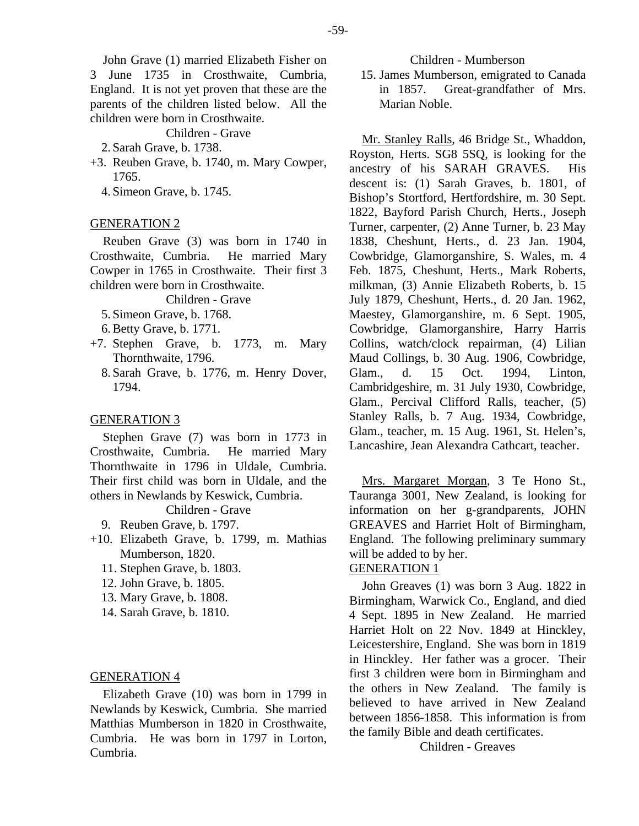John Grave (1) married Elizabeth Fisher on

3 June 1735 in Crosthwaite, Cumbria, England. It is not yet proven that these are the parents of the children listed below. All the children were born in Crosthwaite.

Children - Grave

- 2. Sarah Grave, b. 1738.
- +3. Reuben Grave, b. 1740, m. Mary Cowper, 1765.
	- 4. Simeon Grave, b. 1745.

#### GENERATION 2

Reuben Grave (3) was born in 1740 in Crosthwaite, Cumbria. He married Mary Cowper in 1765 in Crosthwaite. Their first 3 children were born in Crosthwaite.

#### Children - Grave

- 5. Simeon Grave, b. 1768.
- 6. Betty Grave, b. 1771.
- +7. Stephen Grave, b. 1773, m. Mary Thornthwaite, 1796.
	- 8. Sarah Grave, b. 1776, m. Henry Dover, 1794.

#### GENERATION 3

Stephen Grave (7) was born in 1773 in Crosthwaite, Cumbria. He married Mary Thornthwaite in 1796 in Uldale, Cumbria. Their first child was born in Uldale, and the others in Newlands by Keswick, Cumbria.

# Children - Grave

- 9. Reuben Grave, b. 1797.
- +10. Elizabeth Grave, b. 1799, m. Mathias Mumberson, 1820.
	- 11. Stephen Grave, b. 1803.
	- 12. John Grave, b. 1805.
	- 13. Mary Grave, b. 1808.
	- 14. Sarah Grave, b. 1810.

## GENERATION 4

Elizabeth Grave (10) was born in 1799 in Newlands by Keswick, Cumbria. She married Matthias Mumberson in 1820 in Crosthwaite, Cumbria. He was born in 1797 in Lorton, Cumbria.

 15. James Mumberson, emigrated to Canada in 1857. Great-grandfather of Mrs. Marian Noble.

Mr. Stanley Ralls, 46 Bridge St., Whaddon, Royston, Herts. SG8 5SQ, is looking for the ancestry of his SARAH GRAVES. His descent is: (1) Sarah Graves, b. 1801, of Bishop's Stortford, Hertfordshire, m. 30 Sept. 1822, Bayford Parish Church, Herts., Joseph Turner, carpenter, (2) Anne Turner, b. 23 May 1838, Cheshunt, Herts., d. 23 Jan. 1904, Cowbridge, Glamorganshire, S. Wales, m. 4 Feb. 1875, Cheshunt, Herts., Mark Roberts, milkman, (3) Annie Elizabeth Roberts, b. 15 July 1879, Cheshunt, Herts., d. 20 Jan. 1962, Maestey, Glamorganshire, m. 6 Sept. 1905, Cowbridge, Glamorganshire, Harry Harris Collins, watch/clock repairman, (4) Lilian Maud Collings, b. 30 Aug. 1906, Cowbridge, Glam., d. 15 Oct. 1994, Linton, Cambridgeshire, m. 31 July 1930, Cowbridge, Glam., Percival Clifford Ralls, teacher, (5) Stanley Ralls, b. 7 Aug. 1934, Cowbridge, Glam., teacher, m. 15 Aug. 1961, St. Helen's, Lancashire, Jean Alexandra Cathcart, teacher.

Mrs. Margaret Morgan, 3 Te Hono St., Tauranga 3001, New Zealand, is looking for information on her g-grandparents, JOHN GREAVES and Harriet Holt of Birmingham, England. The following preliminary summary will be added to by her.

## GENERATION 1

John Greaves (1) was born 3 Aug. 1822 in Birmingham, Warwick Co., England, and died 4 Sept. 1895 in New Zealand. He married Harriet Holt on 22 Nov. 1849 at Hinckley, Leicestershire, England. She was born in 1819 in Hinckley. Her father was a grocer. Their first 3 children were born in Birmingham and the others in New Zealand. The family is believed to have arrived in New Zealand between 1856-1858. This information is from the family Bible and death certificates.

Children - Greaves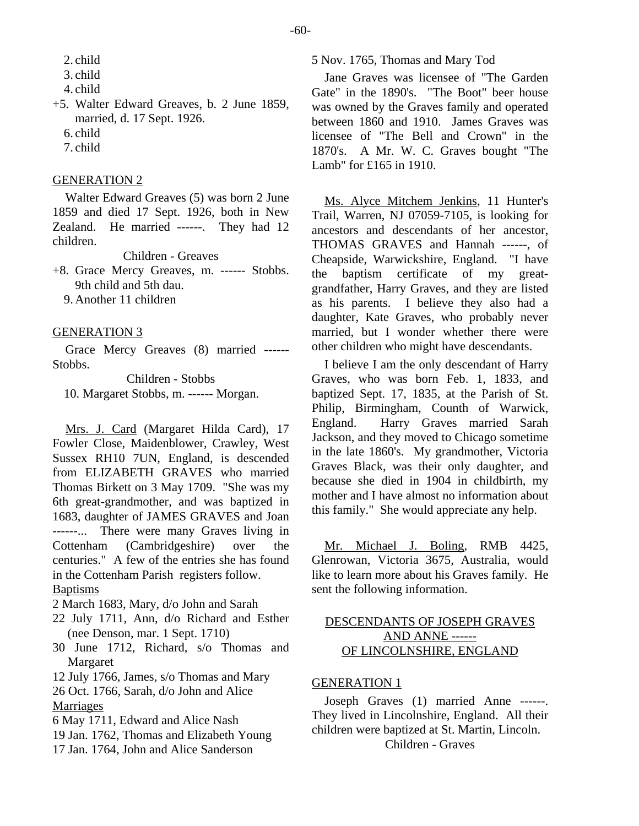2. child

- 4. child
- +5. Walter Edward Greaves, b. 2 June 1859, married, d. 17 Sept. 1926.
	- 6. child
	- 7. child

# GENERATION 2

Walter Edward Greaves (5) was born 2 June 1859 and died 17 Sept. 1926, both in New Zealand. He married ------. They had 12 children.

Children - Greaves

- +8. Grace Mercy Greaves, m. ------ Stobbs. 9th child and 5th dau.
	- 9. Another 11 children

## GENERATION 3

Grace Mercy Greaves (8) married ------ Stobbs.

Children - Stobbs 10. Margaret Stobbs, m. ------ Morgan.

Mrs. J. Card (Margaret Hilda Card), 17 Fowler Close, Maidenblower, Crawley, West Sussex RH10 7UN, England, is descended from ELIZABETH GRAVES who married Thomas Birkett on 3 May 1709. "She was my 6th great-grandmother, and was baptized in 1683, daughter of JAMES GRAVES and Joan ------... There were many Graves living in Cottenham (Cambridgeshire) over the centuries." A few of the entries she has found in the Cottenham Parish registers follow. Baptisms

2 March 1683, Mary, d/o John and Sarah

- 22 July 1711, Ann, d/o Richard and Esther (nee Denson, mar. 1 Sept. 1710)
- 30 June 1712, Richard, s/o Thomas and Margaret
- 12 July 1766, James, s/o Thomas and Mary

26 Oct. 1766, Sarah, d/o John and Alice **Marriages** 

6 May 1711, Edward and Alice Nash

- 19 Jan. 1762, Thomas and Elizabeth Young
- 17 Jan. 1764, John and Alice Sanderson

## 5 Nov. 1765, Thomas and Mary Tod

Jane Graves was licensee of "The Garden Gate" in the 1890's. "The Boot" beer house was owned by the Graves family and operated between 1860 and 1910. James Graves was licensee of "The Bell and Crown" in the 1870's. A Mr. W. C. Graves bought "The Lamb" for £165 in 1910.

Ms. Alyce Mitchem Jenkins, 11 Hunter's Trail, Warren, NJ 07059-7105, is looking for ancestors and descendants of her ancestor, THOMAS GRAVES and Hannah ------, of Cheapside, Warwickshire, England. "I have the baptism certificate of my greatgrandfather, Harry Graves, and they are listed as his parents. I believe they also had a daughter, Kate Graves, who probably never married, but I wonder whether there were other children who might have descendants.

I believe I am the only descendant of Harry Graves, who was born Feb. 1, 1833, and baptized Sept. 17, 1835, at the Parish of St. Philip, Birmingham, Counth of Warwick, England. Harry Graves married Sarah Jackson, and they moved to Chicago sometime in the late 1860's. My grandmother, Victoria Graves Black, was their only daughter, and because she died in 1904 in childbirth, my mother and I have almost no information about this family." She would appreciate any help.

Mr. Michael J. Boling, RMB 4425, Glenrowan, Victoria 3675, Australia, would like to learn more about his Graves family. He sent the following information.

# DESCENDANTS OF JOSEPH GRAVES AND ANNE ------ OF LINCOLNSHIRE, ENGLAND

# GENERATION 1

Joseph Graves (1) married Anne ------. They lived in Lincolnshire, England. All their children were baptized at St. Martin, Lincoln.

Children - Graves

 <sup>3.</sup> child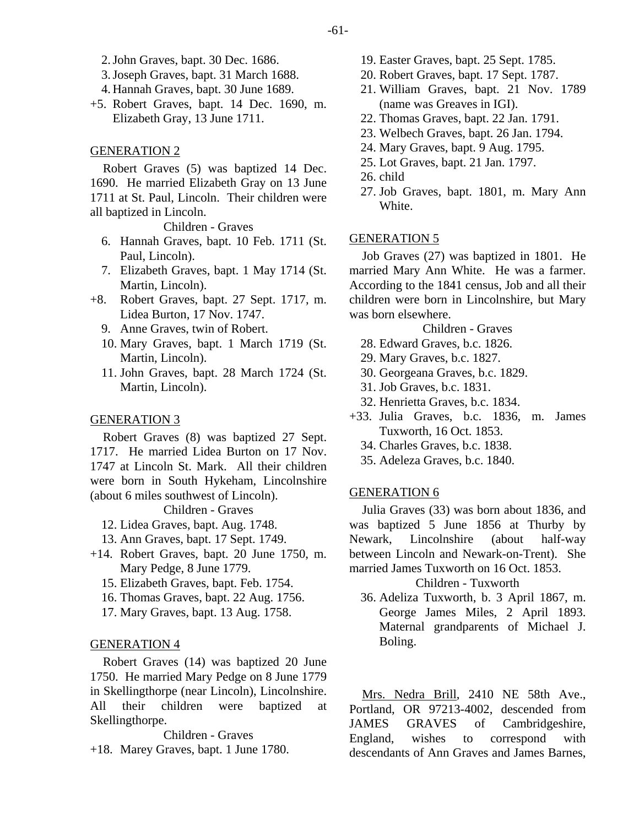- 2. John Graves, bapt. 30 Dec. 1686.
- 3. Joseph Graves, bapt. 31 March 1688.
- 4. Hannah Graves, bapt. 30 June 1689.
- +5. Robert Graves, bapt. 14 Dec. 1690, m. Elizabeth Gray, 13 June 1711.

## GENERATION 2

Robert Graves (5) was baptized 14 Dec. 1690. He married Elizabeth Gray on 13 June 1711 at St. Paul, Lincoln. Their children were all baptized in Lincoln.

Children - Graves

- 6. Hannah Graves, bapt. 10 Feb. 1711 (St. Paul, Lincoln).
- 7. Elizabeth Graves, bapt. 1 May 1714 (St. Martin, Lincoln).
- +8. Robert Graves, bapt. 27 Sept. 1717, m. Lidea Burton, 17 Nov. 1747.
	- 9. Anne Graves, twin of Robert.
	- 10. Mary Graves, bapt. 1 March 1719 (St. Martin, Lincoln).
	- 11. John Graves, bapt. 28 March 1724 (St. Martin, Lincoln).

#### GENERATION 3

Robert Graves (8) was baptized 27 Sept. 1717. He married Lidea Burton on 17 Nov. 1747 at Lincoln St. Mark. All their children were born in South Hykeham, Lincolnshire (about 6 miles southwest of Lincoln).

Children - Graves

- 12. Lidea Graves, bapt. Aug. 1748.
- 13. Ann Graves, bapt. 17 Sept. 1749.
- +14. Robert Graves, bapt. 20 June 1750, m. Mary Pedge, 8 June 1779.
	- 15. Elizabeth Graves, bapt. Feb. 1754.
	- 16. Thomas Graves, bapt. 22 Aug. 1756.
	- 17. Mary Graves, bapt. 13 Aug. 1758.

#### GENERATION 4

Robert Graves (14) was baptized 20 June 1750. He married Mary Pedge on 8 June 1779 in Skellingthorpe (near Lincoln), Lincolnshire. All their children were baptized at Skellingthorpe.

Children - Graves +18. Marey Graves, bapt. 1 June 1780.

- 19. Easter Graves, bapt. 25 Sept. 1785.
- 20. Robert Graves, bapt. 17 Sept. 1787.
- 21. William Graves, bapt. 21 Nov. 1789 (name was Greaves in IGI).
- 22. Thomas Graves, bapt. 22 Jan. 1791.
- 23. Welbech Graves, bapt. 26 Jan. 1794.
- 24. Mary Graves, bapt. 9 Aug. 1795.
- 25. Lot Graves, bapt. 21 Jan. 1797.
- 26. child
- 27. Job Graves, bapt. 1801, m. Mary Ann White.

## GENERATION 5

Job Graves (27) was baptized in 1801. He married Mary Ann White. He was a farmer. According to the 1841 census, Job and all their children were born in Lincolnshire, but Mary was born elsewhere.

Children - Graves

- 28. Edward Graves, b.c. 1826.
- 29. Mary Graves, b.c. 1827.
- 30. Georgeana Graves, b.c. 1829.
- 31. Job Graves, b.c. 1831.
- 32. Henrietta Graves, b.c. 1834.
- +33. Julia Graves, b.c. 1836, m. James Tuxworth, 16 Oct. 1853.
	- 34. Charles Graves, b.c. 1838.
	- 35. Adeleza Graves, b.c. 1840.

#### GENERATION 6

Julia Graves (33) was born about 1836, and was baptized 5 June 1856 at Thurby by Newark, Lincolnshire (about half-way between Lincoln and Newark-on-Trent). She married James Tuxworth on 16 Oct. 1853.

#### Children - Tuxworth

 36. Adeliza Tuxworth, b. 3 April 1867, m. George James Miles, 2 April 1893. Maternal grandparents of Michael J. Boling.

Mrs. Nedra Brill, 2410 NE 58th Ave., Portland, OR 97213-4002, descended from JAMES GRAVES of Cambridgeshire, England, wishes to correspond with descendants of Ann Graves and James Barnes,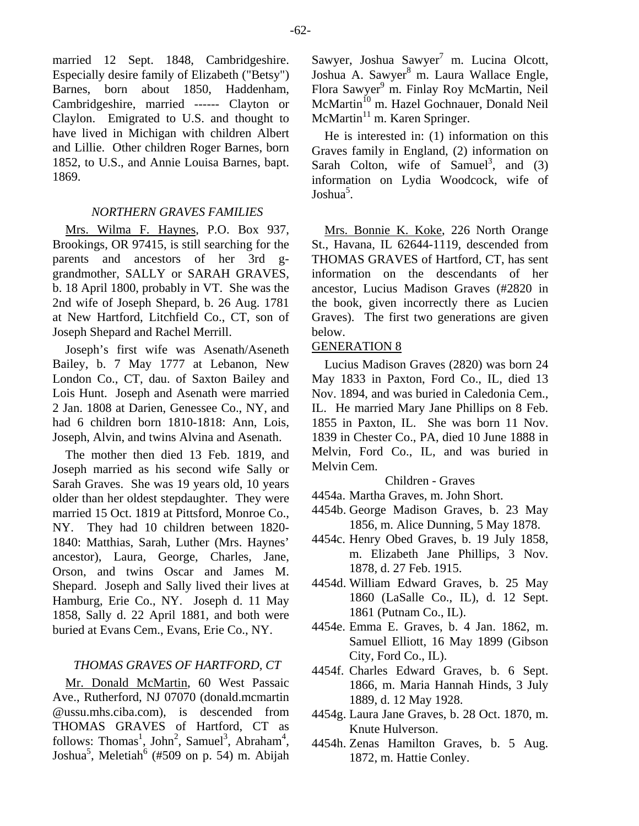married 12 Sept. 1848, Cambridgeshire. Especially desire family of Elizabeth ("Betsy") Barnes, born about 1850, Haddenham, Cambridgeshire, married ------ Clayton or Claylon. Emigrated to U.S. and thought to have lived in Michigan with children Albert and Lillie. Other children Roger Barnes, born 1852, to U.S., and Annie Louisa Barnes, bapt. 1869.

## *NORTHERN GRAVES FAMILIES*

Mrs. Wilma F. Haynes, P.O. Box 937, Brookings, OR 97415, is still searching for the parents and ancestors of her 3rd ggrandmother, SALLY or SARAH GRAVES, b. 18 April 1800, probably in VT. She was the 2nd wife of Joseph Shepard, b. 26 Aug. 1781 at New Hartford, Litchfield Co., CT, son of Joseph Shepard and Rachel Merrill.

Joseph's first wife was Asenath/Aseneth Bailey, b. 7 May 1777 at Lebanon, New London Co., CT, dau. of Saxton Bailey and Lois Hunt. Joseph and Asenath were married 2 Jan. 1808 at Darien, Genessee Co., NY, and had 6 children born 1810-1818: Ann, Lois, Joseph, Alvin, and twins Alvina and Asenath.

The mother then died 13 Feb. 1819, and Joseph married as his second wife Sally or Sarah Graves. She was 19 years old, 10 years older than her oldest stepdaughter. They were married 15 Oct. 1819 at Pittsford, Monroe Co., NY. They had 10 children between 1820- 1840: Matthias, Sarah, Luther (Mrs. Haynes' ancestor), Laura, George, Charles, Jane, Orson, and twins Oscar and James M. Shepard. Joseph and Sally lived their lives at Hamburg, Erie Co., NY. Joseph d. 11 May 1858, Sally d. 22 April 1881, and both were buried at Evans Cem., Evans, Erie Co., NY.

# *THOMAS GRAVES OF HARTFORD, CT*

Mr. Donald McMartin, 60 West Passaic Ave., Rutherford, NJ 07070 (donald.mcmartin @ussu.mhs.ciba.com), is descended from THOMAS GRAVES of Hartford, CT as follows: Thomas<sup>1</sup>, John<sup>2</sup>, Samuel<sup>3</sup>, Abraham<sup>4</sup>, Joshua<sup>5</sup>, Meletiah<sup>6</sup> (#509 on p. 54) m. Abijah

Sawyer, Joshua Sawyer<sup>7</sup> m. Lucina Olcott, Joshua A. Sawyer<sup>8</sup> m. Laura Wallace Engle, Flora Sawyer<sup>9</sup> m. Finlay Roy McMartin, Neil McMartin<sup>10</sup> m. Hazel Gochnauer, Donald Neil  $McMartin<sup>11</sup>$  m. Karen Springer.

He is interested in: (1) information on this Graves family in England, (2) information on Sarah Colton, wife of Samuel<sup>3</sup>, and  $(3)$ information on Lydia Woodcock, wife of Joshua<sup>5</sup>.

Mrs. Bonnie K. Koke, 226 North Orange St., Havana, IL 62644-1119, descended from THOMAS GRAVES of Hartford, CT, has sent information on the descendants of her ancestor, Lucius Madison Graves (#2820 in the book, given incorrectly there as Lucien Graves). The first two generations are given below.

# GENERATION 8

Lucius Madison Graves (2820) was born 24 May 1833 in Paxton, Ford Co., IL, died 13 Nov. 1894, and was buried in Caledonia Cem., IL. He married Mary Jane Phillips on 8 Feb. 1855 in Paxton, IL. She was born 11 Nov. 1839 in Chester Co., PA, died 10 June 1888 in Melvin, Ford Co., IL, and was buried in Melvin Cem.

Children - Graves

- 4454a. Martha Graves, m. John Short.
- 4454b. George Madison Graves, b. 23 May 1856, m. Alice Dunning, 5 May 1878.
- 4454c. Henry Obed Graves, b. 19 July 1858, m. Elizabeth Jane Phillips, 3 Nov. 1878, d. 27 Feb. 1915.
- 4454d. William Edward Graves, b. 25 May 1860 (LaSalle Co., IL), d. 12 Sept. 1861 (Putnam Co., IL).
- 4454e. Emma E. Graves, b. 4 Jan. 1862, m. Samuel Elliott, 16 May 1899 (Gibson City, Ford Co., IL).
- 4454f. Charles Edward Graves, b. 6 Sept. 1866, m. Maria Hannah Hinds, 3 July 1889, d. 12 May 1928.
- 4454g. Laura Jane Graves, b. 28 Oct. 1870, m. Knute Hulverson.
- 4454h. Zenas Hamilton Graves, b. 5 Aug. 1872, m. Hattie Conley.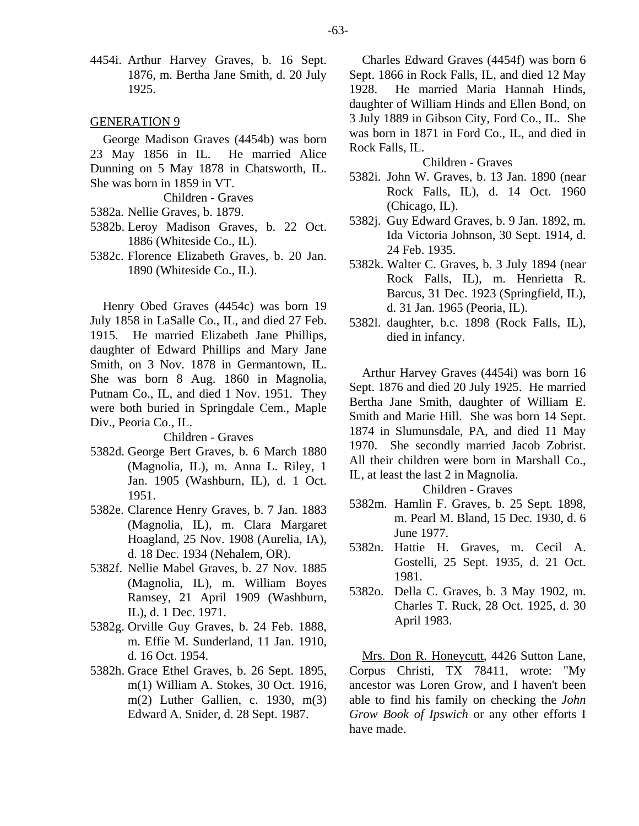4454i. Arthur Harvey Graves, b. 16 Sept. 1876, m. Bertha Jane Smith, d. 20 July 1925.

#### GENERATION 9

George Madison Graves (4454b) was born 23 May 1856 in IL. He married Alice Dunning on 5 May 1878 in Chatsworth, IL. She was born in 1859 in VT.

Children - Graves

- 5382a. Nellie Graves, b. 1879.
- 5382b. Leroy Madison Graves, b. 22 Oct. 1886 (Whiteside Co., IL).
- 5382c. Florence Elizabeth Graves, b. 20 Jan. 1890 (Whiteside Co., IL).

Henry Obed Graves (4454c) was born 19 July 1858 in LaSalle Co., IL, and died 27 Feb. 1915. He married Elizabeth Jane Phillips, daughter of Edward Phillips and Mary Jane Smith, on 3 Nov. 1878 in Germantown, IL. She was born 8 Aug. 1860 in Magnolia, Putnam Co., IL, and died 1 Nov. 1951. They were both buried in Springdale Cem., Maple Div., Peoria Co., IL.

#### Children - Graves

- 5382d. George Bert Graves, b. 6 March 1880 (Magnolia, IL), m. Anna L. Riley, 1 Jan. 1905 (Washburn, IL), d. 1 Oct. 1951.
- 5382e. Clarence Henry Graves, b. 7 Jan. 1883 (Magnolia, IL), m. Clara Margaret Hoagland, 25 Nov. 1908 (Aurelia, IA), d. 18 Dec. 1934 (Nehalem, OR).
- 5382f. Nellie Mabel Graves, b. 27 Nov. 1885 (Magnolia, IL), m. William Boyes Ramsey, 21 April 1909 (Washburn, IL), d. 1 Dec. 1971.
- 5382g. Orville Guy Graves, b. 24 Feb. 1888, m. Effie M. Sunderland, 11 Jan. 1910, d. 16 Oct. 1954.
- 5382h. Grace Ethel Graves, b. 26 Sept. 1895, m(1) William A. Stokes, 30 Oct. 1916, m(2) Luther Gallien, c. 1930, m(3) Edward A. Snider, d. 28 Sept. 1987.

Charles Edward Graves (4454f) was born 6 Sept. 1866 in Rock Falls, IL, and died 12 May 1928. He married Maria Hannah Hinds, daughter of William Hinds and Ellen Bond, on 3 July 1889 in Gibson City, Ford Co., IL. She was born in 1871 in Ford Co., IL, and died in Rock Falls, IL.

Children - Graves

- 5382i. John W. Graves, b. 13 Jan. 1890 (near Rock Falls, IL), d. 14 Oct. 1960 (Chicago, IL).
- 5382j. Guy Edward Graves, b. 9 Jan. 1892, m. Ida Victoria Johnson, 30 Sept. 1914, d. 24 Feb. 1935.
- 5382k. Walter C. Graves, b. 3 July 1894 (near Rock Falls, IL), m. Henrietta R. Barcus, 31 Dec. 1923 (Springfield, IL), d. 31 Jan. 1965 (Peoria, IL).
- 5382l. daughter, b.c. 1898 (Rock Falls, IL), died in infancy.

Arthur Harvey Graves (4454i) was born 16 Sept. 1876 and died 20 July 1925. He married Bertha Jane Smith, daughter of William E. Smith and Marie Hill. She was born 14 Sept. 1874 in Slumunsdale, PA, and died 11 May 1970. She secondly married Jacob Zobrist. All their children were born in Marshall Co., IL, at least the last 2 in Magnolia.

Children - Graves

- 5382m. Hamlin F. Graves, b. 25 Sept. 1898, m. Pearl M. Bland, 15 Dec. 1930, d. 6 June 1977.
- 5382n. Hattie H. Graves, m. Cecil A. Gostelli, 25 Sept. 1935, d. 21 Oct. 1981.
- 5382o. Della C. Graves, b. 3 May 1902, m. Charles T. Ruck, 28 Oct. 1925, d. 30 April 1983.

Mrs. Don R. Honeycutt, 4426 Sutton Lane, Corpus Christi, TX 78411, wrote: "My ancestor was Loren Grow, and I haven't been able to find his family on checking the *John Grow Book of Ipswich* or any other efforts I have made.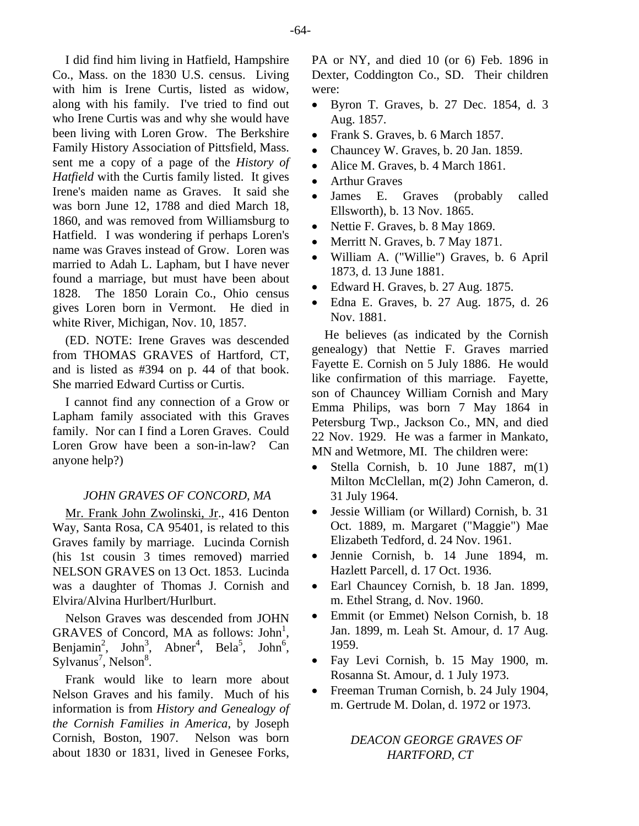I did find him living in Hatfield, Hampshire Co., Mass. on the 1830 U.S. census. Living with him is Irene Curtis, listed as widow, along with his family. I've tried to find out who Irene Curtis was and why she would have been living with Loren Grow. The Berkshire Family History Association of Pittsfield, Mass. sent me a copy of a page of the *History of Hatfield* with the Curtis family listed. It gives Irene's maiden name as Graves. It said she was born June 12, 1788 and died March 18, 1860, and was removed from Williamsburg to Hatfield. I was wondering if perhaps Loren's name was Graves instead of Grow. Loren was married to Adah L. Lapham, but I have never found a marriage, but must have been about 1828. The 1850 Lorain Co., Ohio census gives Loren born in Vermont. He died in white River, Michigan, Nov. 10, 1857.

(ED. NOTE: Irene Graves was descended from THOMAS GRAVES of Hartford, CT, and is listed as #394 on p. 44 of that book. She married Edward Curtiss or Curtis.

I cannot find any connection of a Grow or Lapham family associated with this Graves family. Nor can I find a Loren Graves. Could Loren Grow have been a son-in-law? Can anyone help?)

# *JOHN GRAVES OF CONCORD, MA*

Mr. Frank John Zwolinski, Jr., 416 Denton Way, Santa Rosa, CA 95401, is related to this Graves family by marriage. Lucinda Cornish (his 1st cousin 3 times removed) married NELSON GRAVES on 13 Oct. 1853. Lucinda was a daughter of Thomas J. Cornish and Elvira/Alvina Hurlbert/Hurlburt.

Nelson Graves was descended from JOHN GRAVES of Concord, MA as follows:  $John<sup>1</sup>$ , Benjamin<sup>2</sup>, John<sup>3</sup>, Abner<sup>4</sup>, Bela<sup>5</sup>, John<sup>6</sup>, Sylvanus<sup>7</sup>, Nelson<sup>8</sup>.

Frank would like to learn more about Nelson Graves and his family. Much of his information is from *History and Genealogy of the Cornish Families in America*, by Joseph Cornish, Boston, 1907. Nelson was born about 1830 or 1831, lived in Genesee Forks, PA or NY, and died 10 (or 6) Feb. 1896 in Dexter, Coddington Co., SD. Their children were:

- Byron T. Graves, b. 27 Dec. 1854, d. 3 Aug. 1857.
- Frank S. Graves, b. 6 March 1857.
- Chauncey W. Graves, b. 20 Jan. 1859.
- Alice M. Graves, b. 4 March 1861.
- **Arthur Graves**
- James E. Graves (probably called Ellsworth), b. 13 Nov. 1865.
- Nettie F. Graves, b. 8 May 1869.
- Merritt N. Graves, b. 7 May 1871.
- William A. ("Willie") Graves, b. 6 April 1873, d. 13 June 1881.
- Edward H. Graves, b. 27 Aug. 1875.
- Edna E. Graves, b. 27 Aug. 1875, d. 26 Nov. 1881.

He believes (as indicated by the Cornish genealogy) that Nettie F. Graves married Fayette E. Cornish on 5 July 1886. He would like confirmation of this marriage. Fayette, son of Chauncey William Cornish and Mary Emma Philips, was born 7 May 1864 in Petersburg Twp., Jackson Co., MN, and died 22 Nov. 1929. He was a farmer in Mankato, MN and Wetmore, MI. The children were:

- Stella Cornish, b. 10 June 1887,  $m(1)$ Milton McClellan, m(2) John Cameron, d. 31 July 1964.
- Jessie William (or Willard) Cornish, b. 31 Oct. 1889, m. Margaret ("Maggie") Mae Elizabeth Tedford, d. 24 Nov. 1961.
- Jennie Cornish, b. 14 June 1894, m. Hazlett Parcell, d. 17 Oct. 1936.
- Earl Chauncey Cornish, b. 18 Jan. 1899, m. Ethel Strang, d. Nov. 1960.
- Emmit (or Emmet) Nelson Cornish, b. 18 Jan. 1899, m. Leah St. Amour, d. 17 Aug. 1959.
- Fay Levi Cornish, b. 15 May 1900, m. Rosanna St. Amour, d. 1 July 1973.
- Freeman Truman Cornish, b. 24 July 1904, m. Gertrude M. Dolan, d. 1972 or 1973.

# *DEACON GEORGE GRAVES OF HARTFORD, CT*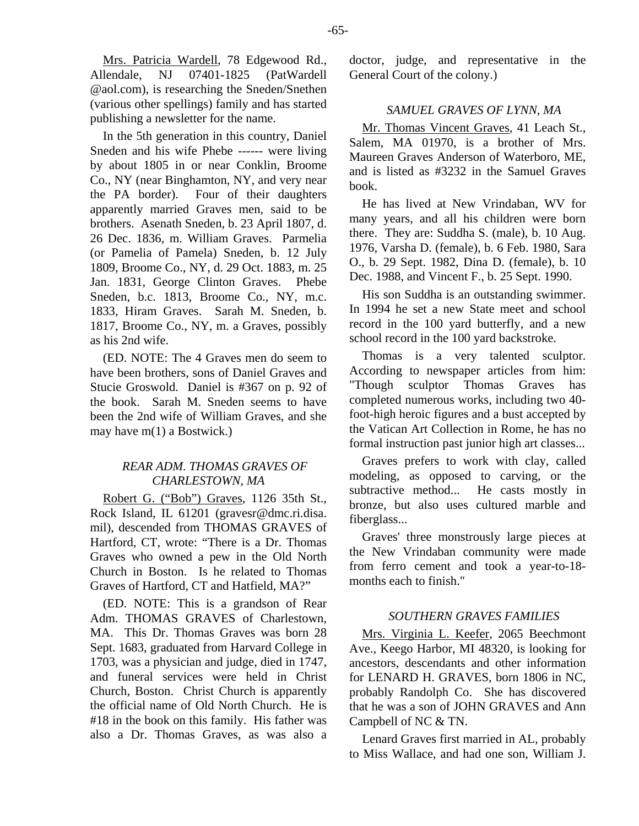Mrs. Patricia Wardell, 78 Edgewood Rd., Allendale, NJ 07401-1825 (PatWardell @aol.com), is researching the Sneden/Snethen (various other spellings) family and has started publishing a newsletter for the name.

In the 5th generation in this country, Daniel Sneden and his wife Phebe ------ were living by about 1805 in or near Conklin, Broome Co., NY (near Binghamton, NY, and very near the PA border). Four of their daughters apparently married Graves men, said to be brothers. Asenath Sneden, b. 23 April 1807, d. 26 Dec. 1836, m. William Graves. Parmelia (or Pamelia of Pamela) Sneden, b. 12 July 1809, Broome Co., NY, d. 29 Oct. 1883, m. 25 Jan. 1831, George Clinton Graves. Phebe Sneden, b.c. 1813, Broome Co., NY, m.c. 1833, Hiram Graves. Sarah M. Sneden, b. 1817, Broome Co., NY, m. a Graves, possibly as his 2nd wife.

(ED. NOTE: The 4 Graves men do seem to have been brothers, sons of Daniel Graves and Stucie Groswold. Daniel is #367 on p. 92 of the book. Sarah M. Sneden seems to have been the 2nd wife of William Graves, and she may have m(1) a Bostwick.)

# *REAR ADM. THOMAS GRAVES OF CHARLESTOWN, MA*

Robert G. ("Bob") Graves, 1126 35th St., Rock Island, IL 61201 (gravesr@dmc.ri.disa. mil), descended from THOMAS GRAVES of Hartford, CT, wrote: "There is a Dr. Thomas Graves who owned a pew in the Old North Church in Boston. Is he related to Thomas Graves of Hartford, CT and Hatfield, MA?"

(ED. NOTE: This is a grandson of Rear Adm. THOMAS GRAVES of Charlestown, MA. This Dr. Thomas Graves was born 28 Sept. 1683, graduated from Harvard College in 1703, was a physician and judge, died in 1747, and funeral services were held in Christ Church, Boston. Christ Church is apparently the official name of Old North Church. He is #18 in the book on this family. His father was also a Dr. Thomas Graves, as was also a doctor, judge, and representative in the General Court of the colony.)

#### *SAMUEL GRAVES OF LYNN, MA*

Mr. Thomas Vincent Graves, 41 Leach St., Salem, MA 01970, is a brother of Mrs. Maureen Graves Anderson of Waterboro, ME, and is listed as #3232 in the Samuel Graves book.

He has lived at New Vrindaban, WV for many years, and all his children were born there. They are: Suddha S. (male), b. 10 Aug. 1976, Varsha D. (female), b. 6 Feb. 1980, Sara O., b. 29 Sept. 1982, Dina D. (female), b. 10 Dec. 1988, and Vincent F., b. 25 Sept. 1990.

His son Suddha is an outstanding swimmer. In 1994 he set a new State meet and school record in the 100 yard butterfly, and a new school record in the 100 yard backstroke.

Thomas is a very talented sculptor. According to newspaper articles from him: "Though sculptor Thomas Graves has completed numerous works, including two 40 foot-high heroic figures and a bust accepted by the Vatican Art Collection in Rome, he has no formal instruction past junior high art classes...

Graves prefers to work with clay, called modeling, as opposed to carving, or the subtractive method... He casts mostly in bronze, but also uses cultured marble and fiberglass...

Graves' three monstrously large pieces at the New Vrindaban community were made from ferro cement and took a year-to-18 months each to finish."

#### *SOUTHERN GRAVES FAMILIES*

Mrs. Virginia L. Keefer, 2065 Beechmont Ave., Keego Harbor, MI 48320, is looking for ancestors, descendants and other information for LENARD H. GRAVES, born 1806 in NC, probably Randolph Co. She has discovered that he was a son of JOHN GRAVES and Ann Campbell of NC & TN.

Lenard Graves first married in AL, probably to Miss Wallace, and had one son, William J.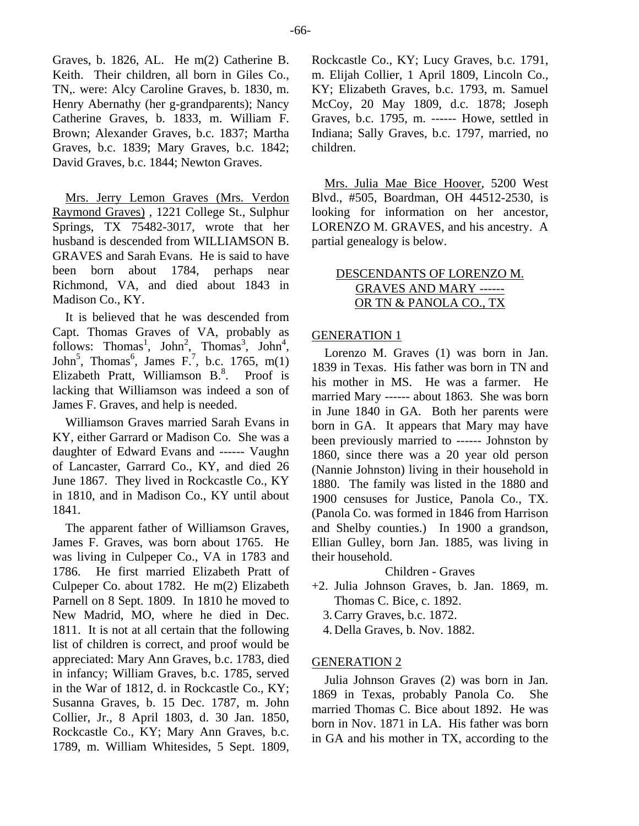Graves, b. 1826, AL. He m(2) Catherine B. Keith. Their children, all born in Giles Co., TN,. were: Alcy Caroline Graves, b. 1830, m. Henry Abernathy (her g-grandparents); Nancy Catherine Graves, b. 1833, m. William F. Brown; Alexander Graves, b.c. 1837; Martha Graves, b.c. 1839; Mary Graves, b.c. 1842; David Graves, b.c. 1844; Newton Graves.

Mrs. Jerry Lemon Graves (Mrs. Verdon Raymond Graves) , 1221 College St., Sulphur Springs, TX 75482-3017, wrote that her husband is descended from WILLIAMSON B. GRAVES and Sarah Evans. He is said to have been born about 1784, perhaps near Richmond, VA, and died about 1843 in Madison Co., KY.

It is believed that he was descended from Capt. Thomas Graves of VA, probably as follows: Thomas<sup>1</sup>, John<sup>2</sup>, Thomas<sup>3</sup>, John<sup>4</sup>, John<sup>5</sup>, Thomas<sup>6</sup>, James F.<sup>7</sup>, b.c. 1765, m(1) Elizabeth Pratt, Williamson  $B^8$ . Proof is lacking that Williamson was indeed a son of James F. Graves, and help is needed.

Williamson Graves married Sarah Evans in KY, either Garrard or Madison Co. She was a daughter of Edward Evans and ------ Vaughn of Lancaster, Garrard Co., KY, and died 26 June 1867. They lived in Rockcastle Co., KY in 1810, and in Madison Co., KY until about 1841.

The apparent father of Williamson Graves, James F. Graves, was born about 1765. He was living in Culpeper Co., VA in 1783 and 1786. He first married Elizabeth Pratt of Culpeper Co. about 1782. He m(2) Elizabeth Parnell on 8 Sept. 1809. In 1810 he moved to New Madrid, MO, where he died in Dec. 1811. It is not at all certain that the following list of children is correct, and proof would be appreciated: Mary Ann Graves, b.c. 1783, died in infancy; William Graves, b.c. 1785, served in the War of 1812, d. in Rockcastle Co., KY; Susanna Graves, b. 15 Dec. 1787, m. John Collier, Jr., 8 April 1803, d. 30 Jan. 1850, Rockcastle Co., KY; Mary Ann Graves, b.c. 1789, m. William Whitesides, 5 Sept. 1809,

Rockcastle Co., KY; Lucy Graves, b.c. 1791, m. Elijah Collier, 1 April 1809, Lincoln Co., KY; Elizabeth Graves, b.c. 1793, m. Samuel McCoy, 20 May 1809, d.c. 1878; Joseph Graves, b.c. 1795, m. ------ Howe, settled in Indiana; Sally Graves, b.c. 1797, married, no children.

Mrs. Julia Mae Bice Hoover, 5200 West Blvd., #505, Boardman, OH 44512-2530, is looking for information on her ancestor, LORENZO M. GRAVES, and his ancestry. A partial genealogy is below.

# DESCENDANTS OF LORENZO M. GRAVES AND MARY ------ OR TN & PANOLA CO., TX

# GENERATION 1

Lorenzo M. Graves (1) was born in Jan. 1839 in Texas. His father was born in TN and his mother in MS. He was a farmer. He married Mary ------ about 1863. She was born in June 1840 in GA. Both her parents were born in GA. It appears that Mary may have been previously married to ------ Johnston by 1860, since there was a 20 year old person (Nannie Johnston) living in their household in 1880. The family was listed in the 1880 and 1900 censuses for Justice, Panola Co., TX. (Panola Co. was formed in 1846 from Harrison and Shelby counties.) In 1900 a grandson, Ellian Gulley, born Jan. 1885, was living in their household.

## Children - Graves

- +2. Julia Johnson Graves, b. Jan. 1869, m. Thomas C. Bice, c. 1892.
	- 3. Carry Graves, b.c. 1872.
	- 4. Della Graves, b. Nov. 1882.

# GENERATION 2

Julia Johnson Graves (2) was born in Jan. 1869 in Texas, probably Panola Co. She married Thomas C. Bice about 1892. He was born in Nov. 1871 in LA. His father was born in GA and his mother in TX, according to the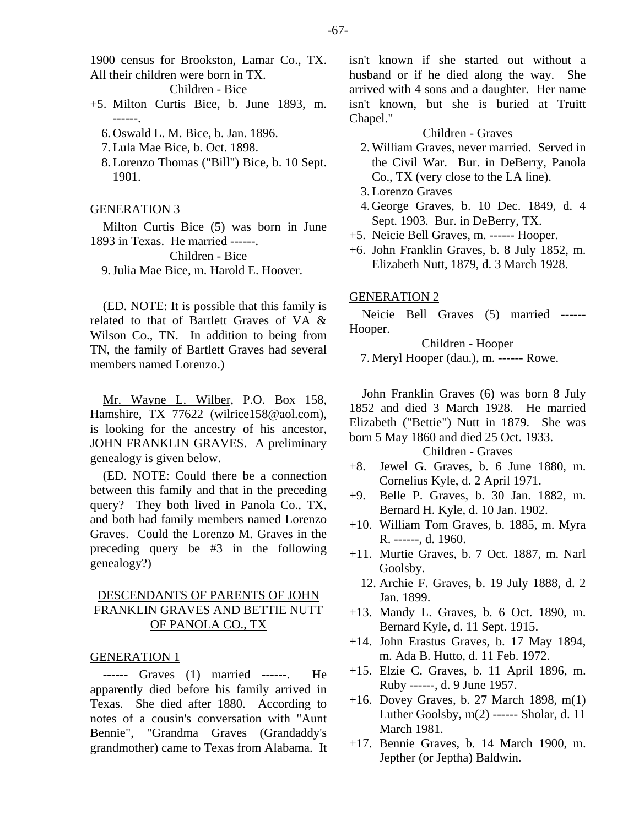1900 census for Brookston, Lamar Co., TX. All their children were born in TX.

Children - Bice

- +5. Milton Curtis Bice, b. June 1893, m. ------.
	- 6. Oswald L. M. Bice, b. Jan. 1896.
	- 7. Lula Mae Bice, b. Oct. 1898.
	- 8. Lorenzo Thomas ("Bill") Bice, b. 10 Sept. 1901.

#### GENERATION 3

Milton Curtis Bice (5) was born in June 1893 in Texas. He married ------.

Children - Bice

9. Julia Mae Bice, m. Harold E. Hoover.

(ED. NOTE: It is possible that this family is related to that of Bartlett Graves of VA & Wilson Co., TN. In addition to being from TN, the family of Bartlett Graves had several members named Lorenzo.)

Mr. Wayne L. Wilber, P.O. Box 158, Hamshire, TX 77622 (wilrice158@aol.com), is looking for the ancestry of his ancestor, JOHN FRANKLIN GRAVES. A preliminary genealogy is given below.

(ED. NOTE: Could there be a connection between this family and that in the preceding query? They both lived in Panola Co., TX, and both had family members named Lorenzo Graves. Could the Lorenzo M. Graves in the preceding query be #3 in the following genealogy?)

# DESCENDANTS OF PARENTS OF JOHN FRANKLIN GRAVES AND BETTIE NUTT OF PANOLA CO., TX

## GENERATION 1

------ Graves (1) married ------. He apparently died before his family arrived in Texas. She died after 1880. According to notes of a cousin's conversation with "Aunt Bennie", "Grandma Graves (Grandaddy's grandmother) came to Texas from Alabama. It isn't known if she started out without a husband or if he died along the way. She arrived with 4 sons and a daughter. Her name isn't known, but she is buried at Truitt Chapel."

#### Children - Graves

- 2. William Graves, never married. Served in the Civil War. Bur. in DeBerry, Panola Co., TX (very close to the LA line).
- 3. Lorenzo Graves
- 4. George Graves, b. 10 Dec. 1849, d. 4 Sept. 1903. Bur. in DeBerry, TX.
- +5. Neicie Bell Graves, m. ------ Hooper.
- +6. John Franklin Graves, b. 8 July 1852, m. Elizabeth Nutt, 1879, d. 3 March 1928.

## GENERATION 2

Neicie Bell Graves (5) married ------ Hooper.

Children - Hooper

7. Meryl Hooper (dau.), m. ------ Rowe.

John Franklin Graves (6) was born 8 July 1852 and died 3 March 1928. He married Elizabeth ("Bettie") Nutt in 1879. She was born 5 May 1860 and died 25 Oct. 1933.

## Children - Graves

- +8. Jewel G. Graves, b. 6 June 1880, m. Cornelius Kyle, d. 2 April 1971.
- +9. Belle P. Graves, b. 30 Jan. 1882, m. Bernard H. Kyle, d. 10 Jan. 1902.
- +10. William Tom Graves, b. 1885, m. Myra R. ------, d. 1960.
- +11. Murtie Graves, b. 7 Oct. 1887, m. Narl Goolsby.
- 12. Archie F. Graves, b. 19 July 1888, d. 2 Jan. 1899.
- +13. Mandy L. Graves, b. 6 Oct. 1890, m. Bernard Kyle, d. 11 Sept. 1915.
- +14. John Erastus Graves, b. 17 May 1894, m. Ada B. Hutto, d. 11 Feb. 1972.
- +15. Elzie C. Graves, b. 11 April 1896, m. Ruby ------, d. 9 June 1957.
- +16. Dovey Graves, b. 27 March 1898, m(1) Luther Goolsby, m(2) ------ Sholar, d. 11 March 1981.
- +17. Bennie Graves, b. 14 March 1900, m. Jepther (or Jeptha) Baldwin.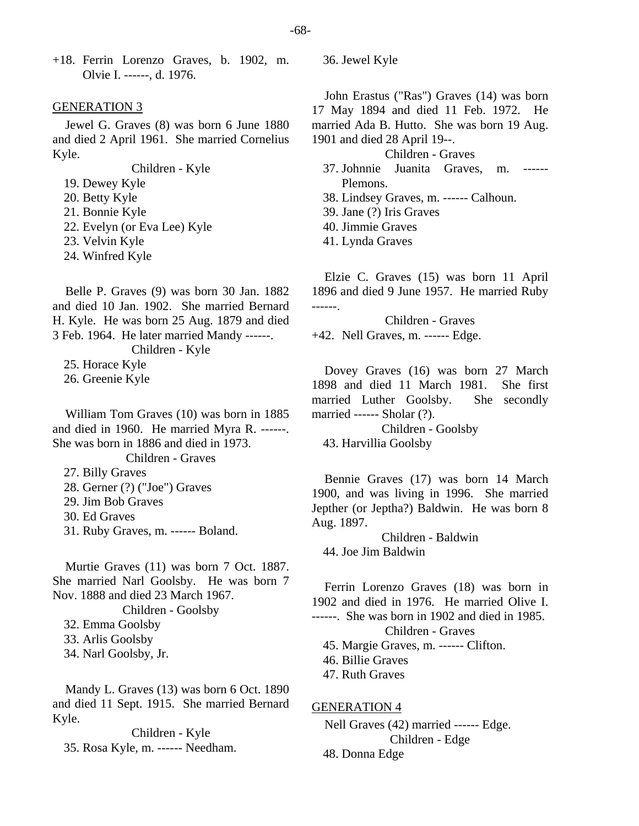+18. Ferrin Lorenzo Graves, b. 1902, m. Olvie I. ------, d. 1976.

#### GENERATION 3

Jewel G. Graves (8) was born 6 June 1880 and died 2 April 1961. She married Cornelius Kyle.

Children - Kyle

19. Dewey Kyle

- 20. Betty Kyle
- 21. Bonnie Kyle
- 22. Evelyn (or Eva Lee) Kyle
- 23. Velvin Kyle
- 24. Winfred Kyle

Belle P. Graves (9) was born 30 Jan. 1882 and died 10 Jan. 1902. She married Bernard H. Kyle. He was born 25 Aug. 1879 and died 3 Feb. 1964. He later married Mandy ------.

Children - Kyle

25. Horace Kyle

26. Greenie Kyle

William Tom Graves (10) was born in 1885 and died in 1960. He married Myra R. ------. She was born in 1886 and died in 1973.

Children - Graves

- 27. Billy Graves
- 28. Gerner (?) ("Joe") Graves
- 29. Jim Bob Graves
- 30. Ed Graves
- 31. Ruby Graves, m. ------ Boland.

Murtie Graves (11) was born 7 Oct. 1887. She married Narl Goolsby. He was born 7 Nov. 1888 and died 23 March 1967.

Children - Goolsby

- 32. Emma Goolsby
- 33. Arlis Goolsby

34. Narl Goolsby, Jr.

Mandy L. Graves (13) was born 6 Oct. 1890 and died 11 Sept. 1915. She married Bernard Kyle.

Children - Kyle 35. Rosa Kyle, m. ------ Needham. 36. Jewel Kyle

John Erastus ("Ras") Graves (14) was born 17 May 1894 and died 11 Feb. 1972. He married Ada B. Hutto. She was born 19 Aug. 1901 and died 28 April 19--.

#### Children - Graves

- 37. Johnnie Juanita Graves, m. ------ Plemons.
- 38. Lindsey Graves, m. ------ Calhoun.
- 39. Jane (?) Iris Graves
- 40. Jimmie Graves
- 41. Lynda Graves

Elzie C. Graves (15) was born 11 April 1896 and died 9 June 1957. He married Ruby ------.

Children - Graves +42. Nell Graves, m. ------ Edge.

Dovey Graves (16) was born 27 March 1898 and died 11 March 1981. She first married Luther Goolsby. She secondly married ------ Sholar (?).

Children - Goolsby 43. Harvillia Goolsby

Bennie Graves (17) was born 14 March 1900, and was living in 1996. She married Jepther (or Jeptha?) Baldwin. He was born 8 Aug. 1897.

Children - Baldwin 44. Joe Jim Baldwin

Ferrin Lorenzo Graves (18) was born in 1902 and died in 1976. He married Olive I. ------. She was born in 1902 and died in 1985. Children - Graves 45. Margie Graves, m. ------ Clifton. 46. Billie Graves 47. Ruth Graves

GENERATION 4

Nell Graves (42) married ------ Edge. Children - Edge 48. Donna Edge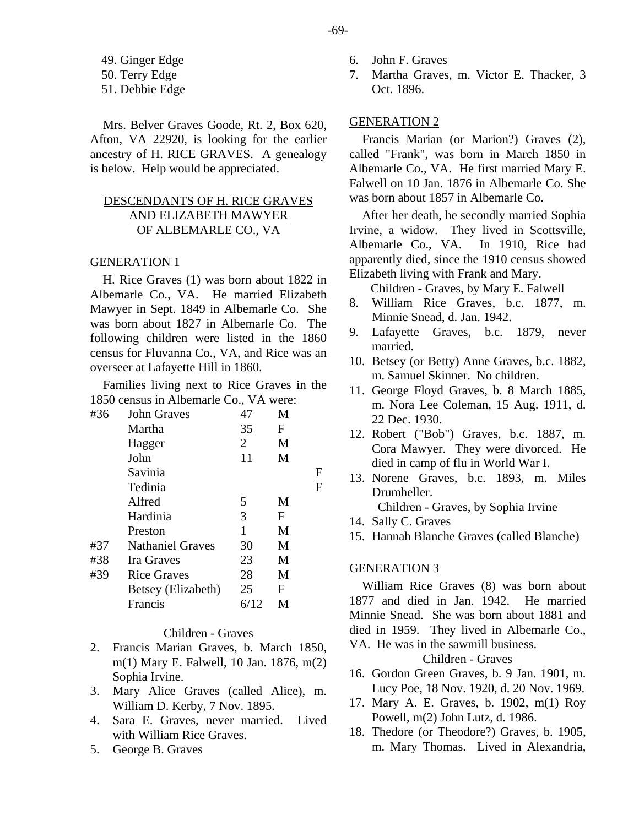49. Ginger Edge

50. Terry Edge

51. Debbie Edge

Mrs. Belver Graves Goode, Rt. 2, Box 620, Afton, VA 22920, is looking for the earlier ancestry of H. RICE GRAVES. A genealogy is below. Help would be appreciated.

## DESCENDANTS OF H. RICE GRAVES AND ELIZABETH MAWYER OF ALBEMARLE CO., VA

## GENERATION 1

H. Rice Graves (1) was born about 1822 in Albemarle Co., VA. He married Elizabeth Mawyer in Sept. 1849 in Albemarle Co. She was born about 1827 in Albemarle Co. The following children were listed in the 1860 census for Fluvanna Co., VA, and Rice was an overseer at Lafayette Hill in 1860.

Families living next to Rice Graves in the 1850 census in Albemarle Co., VA were:

| #36 | <b>John Graves</b>      | 47             | M |   |
|-----|-------------------------|----------------|---|---|
|     | Martha                  | 35             | F |   |
|     | Hagger                  | $\overline{2}$ | M |   |
|     | John                    | 11             | M |   |
|     | Savinia                 |                |   | F |
|     | Tedinia                 |                |   | F |
|     | Alfred                  | 5              | M |   |
|     | Hardinia                | 3              | F |   |
|     | Preston                 | 1              | M |   |
| #37 | <b>Nathaniel Graves</b> | 30             | M |   |
| #38 | Ira Graves              | 23             | M |   |
| #39 | <b>Rice Graves</b>      | 28             | M |   |
|     | Betsey (Elizabeth)      | 25             | F |   |
|     | Francis                 | 6/12           | М |   |
|     |                         |                |   |   |

#### Children - Graves

- 2. Francis Marian Graves, b. March 1850, m(1) Mary E. Falwell, 10 Jan. 1876, m(2) Sophia Irvine.
- 3. Mary Alice Graves (called Alice), m. William D. Kerby, 7 Nov. 1895.
- 4. Sara E. Graves, never married. Lived with William Rice Graves.
- 5. George B. Graves
- 6. John F. Graves
- 7. Martha Graves, m. Victor E. Thacker, 3 Oct. 1896.

## GENERATION 2

Francis Marian (or Marion?) Graves (2), called "Frank", was born in March 1850 in Albemarle Co., VA. He first married Mary E. Falwell on 10 Jan. 1876 in Albemarle Co. She was born about 1857 in Albemarle Co.

After her death, he secondly married Sophia Irvine, a widow. They lived in Scottsville, Albemarle Co., VA. In 1910, Rice had apparently died, since the 1910 census showed Elizabeth living with Frank and Mary.

Children - Graves, by Mary E. Falwell

- 8. William Rice Graves, b.c. 1877, m. Minnie Snead, d. Jan. 1942.
- 9. Lafayette Graves, b.c. 1879, never married.
- 10. Betsey (or Betty) Anne Graves, b.c. 1882, m. Samuel Skinner. No children.
- 11. George Floyd Graves, b. 8 March 1885, m. Nora Lee Coleman, 15 Aug. 1911, d. 22 Dec. 1930.
- 12. Robert ("Bob") Graves, b.c. 1887, m. Cora Mawyer. They were divorced. He died in camp of flu in World War I.
- 13. Norene Graves, b.c. 1893, m. Miles Drumheller. Children - Graves, by Sophia Irvine
- 14. Sally C. Graves
- 15. Hannah Blanche Graves (called Blanche)

## GENERATION 3

William Rice Graves (8) was born about 1877 and died in Jan. 1942. He married Minnie Snead. She was born about 1881 and died in 1959. They lived in Albemarle Co., VA. He was in the sawmill business.

Children - Graves

- 16. Gordon Green Graves, b. 9 Jan. 1901, m. Lucy Poe, 18 Nov. 1920, d. 20 Nov. 1969.
- 17. Mary A. E. Graves, b. 1902, m(1) Roy Powell, m(2) John Lutz, d. 1986.
- 18. Thedore (or Theodore?) Graves, b. 1905, m. Mary Thomas. Lived in Alexandria,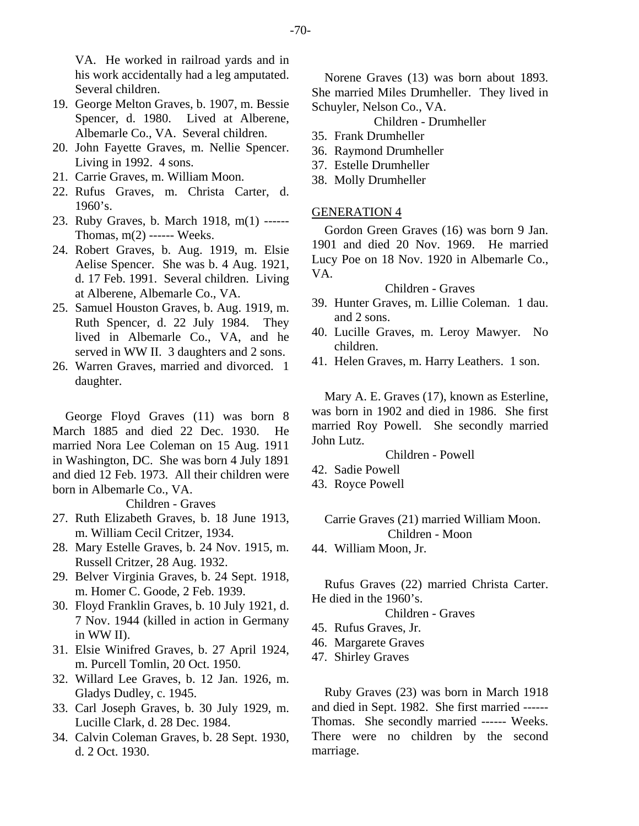VA. He worked in railroad yards and in his work accidentally had a leg amputated. Several children.

- 19. George Melton Graves, b. 1907, m. Bessie Spencer, d. 1980. Lived at Alberene, Albemarle Co., VA. Several children.
- 20. John Fayette Graves, m. Nellie Spencer. Living in 1992. 4 sons.
- 21. Carrie Graves, m. William Moon.
- 22. Rufus Graves, m. Christa Carter, d. 1960's.
- 23. Ruby Graves, b. March 1918, m(1) ------ Thomas,  $m(2)$  ------ Weeks.
- 24. Robert Graves, b. Aug. 1919, m. Elsie Aelise Spencer. She was b. 4 Aug. 1921, d. 17 Feb. 1991. Several children. Living at Alberene, Albemarle Co., VA.
- 25. Samuel Houston Graves, b. Aug. 1919, m. Ruth Spencer, d. 22 July 1984. They lived in Albemarle Co., VA, and he served in WW II. 3 daughters and 2 sons.
- 26. Warren Graves, married and divorced. 1 daughter.

George Floyd Graves (11) was born 8 March 1885 and died 22 Dec. 1930. He married Nora Lee Coleman on 15 Aug. 1911 in Washington, DC. She was born 4 July 1891 and died 12 Feb. 1973. All their children were born in Albemarle Co., VA.

Children - Graves

- 27. Ruth Elizabeth Graves, b. 18 June 1913, m. William Cecil Critzer, 1934.
- 28. Mary Estelle Graves, b. 24 Nov. 1915, m. Russell Critzer, 28 Aug. 1932.
- 29. Belver Virginia Graves, b. 24 Sept. 1918, m. Homer C. Goode, 2 Feb. 1939.
- 30. Floyd Franklin Graves, b. 10 July 1921, d. 7 Nov. 1944 (killed in action in Germany in WW II).
- 31. Elsie Winifred Graves, b. 27 April 1924, m. Purcell Tomlin, 20 Oct. 1950.
- 32. Willard Lee Graves, b. 12 Jan. 1926, m. Gladys Dudley, c. 1945.
- 33. Carl Joseph Graves, b. 30 July 1929, m. Lucille Clark, d. 28 Dec. 1984.
- 34. Calvin Coleman Graves, b. 28 Sept. 1930, d. 2 Oct. 1930.

Norene Graves (13) was born about 1893. She married Miles Drumheller. They lived in Schuyler, Nelson Co., VA.

Children - Drumheller

- 35. Frank Drumheller
- 36. Raymond Drumheller
- 37. Estelle Drumheller
- 38. Molly Drumheller

## GENERATION 4

Gordon Green Graves (16) was born 9 Jan. 1901 and died 20 Nov. 1969. He married Lucy Poe on 18 Nov. 1920 in Albemarle Co., VA.

## Children - Graves

- 39. Hunter Graves, m. Lillie Coleman. 1 dau. and 2 sons.
- 40. Lucille Graves, m. Leroy Mawyer. No children.
- 41. Helen Graves, m. Harry Leathers. 1 son.

Mary A. E. Graves (17), known as Esterline, was born in 1902 and died in 1986. She first married Roy Powell. She secondly married John Lutz.

Children - Powell

- 42. Sadie Powell
- 43. Royce Powell

# Carrie Graves (21) married William Moon. Children - Moon

44. William Moon, Jr.

Rufus Graves (22) married Christa Carter. He died in the 1960's.

Children - Graves

- 45. Rufus Graves, Jr.
- 46. Margarete Graves
- 47. Shirley Graves

Ruby Graves (23) was born in March 1918 and died in Sept. 1982. She first married ------ Thomas. She secondly married ------ Weeks. There were no children by the second marriage.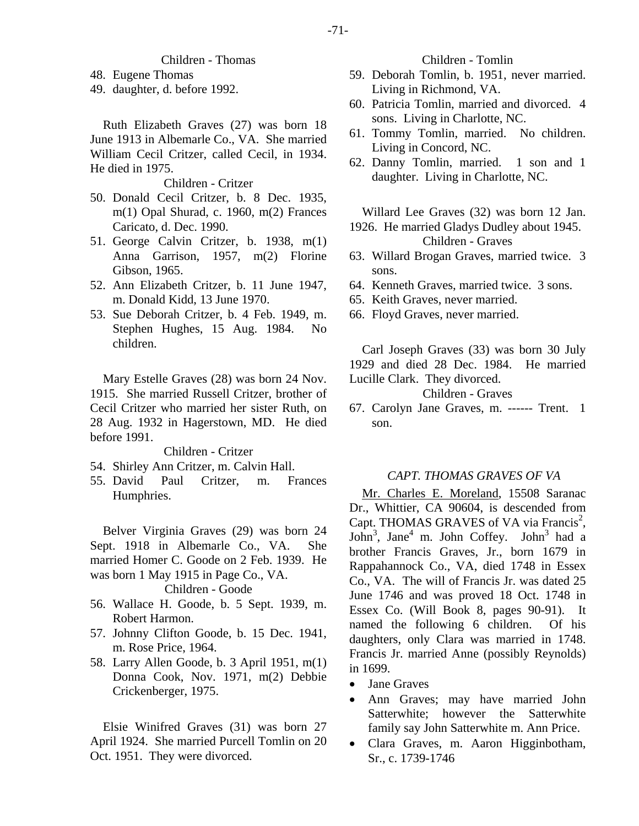## Children - Thomas

- 48. Eugene Thomas
- 49. daughter, d. before 1992.

Ruth Elizabeth Graves (27) was born 18 June 1913 in Albemarle Co., VA. She married William Cecil Critzer, called Cecil, in 1934. He died in 1975.

Children - Critzer

- 50. Donald Cecil Critzer, b. 8 Dec. 1935, m(1) Opal Shurad, c. 1960, m(2) Frances Caricato, d. Dec. 1990.
- 51. George Calvin Critzer, b. 1938, m(1) Anna Garrison, 1957, m(2) Florine Gibson, 1965.
- 52. Ann Elizabeth Critzer, b. 11 June 1947, m. Donald Kidd, 13 June 1970.
- 53. Sue Deborah Critzer, b. 4 Feb. 1949, m. Stephen Hughes, 15 Aug. 1984. No children.

Mary Estelle Graves (28) was born 24 Nov. 1915. She married Russell Critzer, brother of Cecil Critzer who married her sister Ruth, on 28 Aug. 1932 in Hagerstown, MD. He died before 1991.

Children - Critzer

- 54. Shirley Ann Critzer, m. Calvin Hall.
- 55. David Paul Critzer, m. Frances Humphries.

Belver Virginia Graves (29) was born 24 Sept. 1918 in Albemarle Co., VA. She married Homer C. Goode on 2 Feb. 1939. He was born 1 May 1915 in Page Co., VA.

#### Children - Goode

- 56. Wallace H. Goode, b. 5 Sept. 1939, m. Robert Harmon.
- 57. Johnny Clifton Goode, b. 15 Dec. 1941, m. Rose Price, 1964.
- 58. Larry Allen Goode, b. 3 April 1951, m(1) Donna Cook, Nov. 1971, m(2) Debbie Crickenberger, 1975.

Elsie Winifred Graves (31) was born 27 April 1924. She married Purcell Tomlin on 20 Oct. 1951. They were divorced.

Children - Tomlin

- 59. Deborah Tomlin, b. 1951, never married. Living in Richmond, VA.
- 60. Patricia Tomlin, married and divorced. 4 sons. Living in Charlotte, NC.
- 61. Tommy Tomlin, married. No children. Living in Concord, NC.
- 62. Danny Tomlin, married. 1 son and 1 daughter. Living in Charlotte, NC.

Willard Lee Graves (32) was born 12 Jan.

- 1926. He married Gladys Dudley about 1945. Children - Graves
- 63. Willard Brogan Graves, married twice. 3 sons.
- 64. Kenneth Graves, married twice. 3 sons.
- 65. Keith Graves, never married.
- 66. Floyd Graves, never married.

Carl Joseph Graves (33) was born 30 July 1929 and died 28 Dec. 1984. He married Lucille Clark. They divorced.

Children - Graves

67. Carolyn Jane Graves, m. ------ Trent. 1 son.

#### *CAPT. THOMAS GRAVES OF VA*

Mr. Charles E. Moreland, 15508 Saranac Dr., Whittier, CA 90604, is descended from Capt. THOMAS GRAVES of VA via Francis<sup>2</sup>, John<sup>3</sup>, Jane<sup>4</sup> m. John Coffey. John<sup>3</sup> had a brother Francis Graves, Jr., born 1679 in Rappahannock Co., VA, died 1748 in Essex Co., VA. The will of Francis Jr. was dated 25 June 1746 and was proved 18 Oct. 1748 in Essex Co. (Will Book 8, pages 90-91). It named the following 6 children. Of his daughters, only Clara was married in 1748. Francis Jr. married Anne (possibly Reynolds) in 1699.

- Jane Graves
- Ann Graves; may have married John Satterwhite; however the Satterwhite family say John Satterwhite m. Ann Price.
- Clara Graves, m. Aaron Higginbotham, Sr., c. 1739-1746